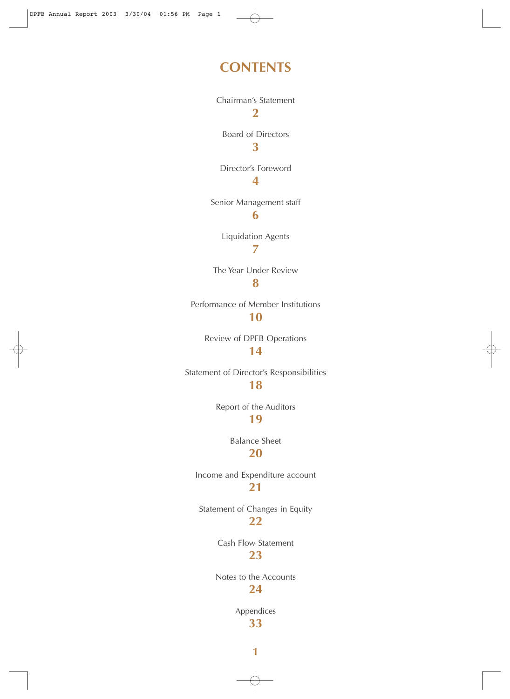### **CONTENTS**

Chairman's Statement **2** Board of Directors **3** Director's Foreword **4** Senior Management staff **6**

> Liquidation Agents **7**

The Year Under Review **8**

Performance of Member Institutions

### **10**

Review of DPFB Operations **14**

Statement of Director's Responsibilities **18**

Report of the Auditors

### **19**

Balance Sheet **20**

Income and Expenditure account **21**

Statement of Changes in Equity **22**

> Cash Flow Statement **23**

Notes to the Accounts **24**

> Appendices **33**

> > **1**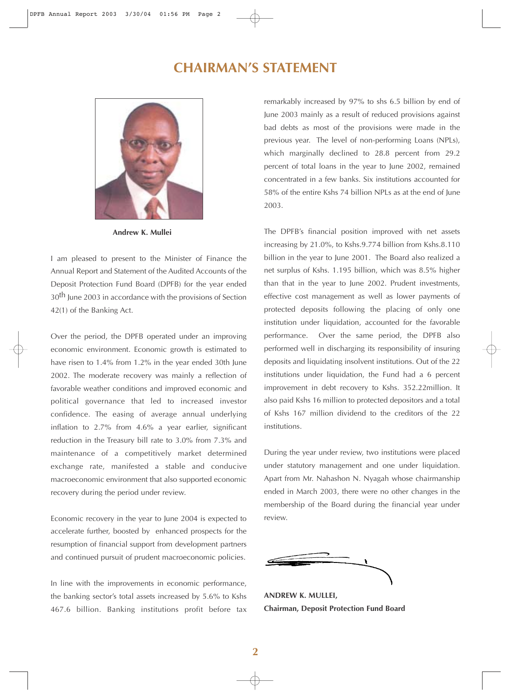### **CHAIRMAN'S STATEMENT**



**Andrew K. Mullei**

I am pleased to present to the Minister of Finance the Annual Report and Statement of the Audited Accounts of the Deposit Protection Fund Board (DPFB) for the year ended 30<sup>th</sup> June 2003 in accordance with the provisions of Section 42(1) of the Banking Act.

Over the period, the DPFB operated under an improving economic environment. Economic growth is estimated to have risen to 1.4% from 1.2% in the year ended 30th June 2002. The moderate recovery was mainly a reflection of favorable weather conditions and improved economic and political governance that led to increased investor confidence. The easing of average annual underlying inflation to 2.7% from 4.6% a year earlier, significant reduction in the Treasury bill rate to 3.0% from 7.3% and maintenance of a competitively market determined exchange rate, manifested a stable and conducive macroeconomic environment that also supported economic recovery during the period under review.

Economic recovery in the year to June 2004 is expected to accelerate further, boosted by enhanced prospects for the resumption of financial support from development partners and continued pursuit of prudent macroeconomic policies.

In line with the improvements in economic performance, the banking sector's total assets increased by 5.6% to Kshs 467.6 billion. Banking institutions profit before tax remarkably increased by 97% to shs 6.5 billion by end of June 2003 mainly as a result of reduced provisions against bad debts as most of the provisions were made in the previous year. The level of non-performing Loans (NPLs), which marginally declined to 28.8 percent from 29.2 percent of total loans in the year to June 2002, remained concentrated in a few banks. Six institutions accounted for 58% of the entire Kshs 74 billion NPLs as at the end of June 2003.

The DPFB's financial position improved with net assets increasing by 21.0%, to Kshs.9.774 billion from Kshs.8.110 billion in the year to June 2001. The Board also realized a net surplus of Kshs. 1.195 billion, which was 8.5% higher than that in the year to June 2002. Prudent investments, effective cost management as well as lower payments of protected deposits following the placing of only one institution under liquidation, accounted for the favorable performance. Over the same period, the DPFB also performed well in discharging its responsibility of insuring deposits and liquidating insolvent institutions. Out of the 22 institutions under liquidation, the Fund had a 6 percent improvement in debt recovery to Kshs. 352.22million. It also paid Kshs 16 million to protected depositors and a total of Kshs 167 million dividend to the creditors of the 22 institutions.

During the year under review, two institutions were placed under statutory management and one under liquidation. Apart from Mr. Nahashon N. Nyagah whose chairmanship ended in March 2003, there were no other changes in the membership of the Board during the financial year under review.

**ANDREW K. MULLEI, Chairman, Deposit Protection Fund Board**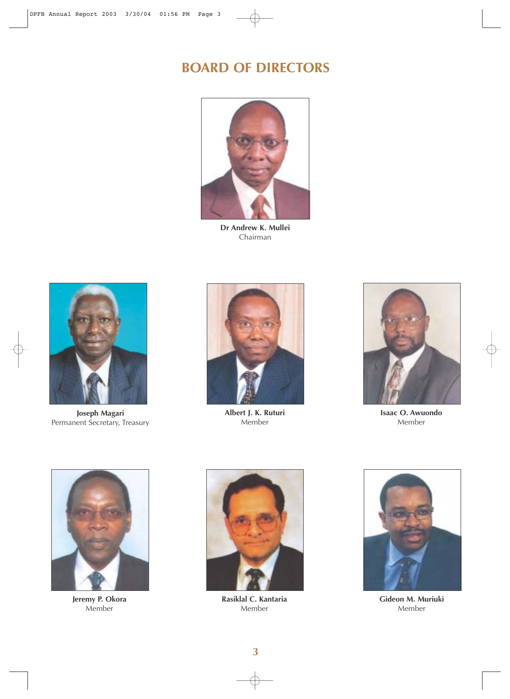## **BOARD OF DIRECTORS**



**Dr Andrew K. Mullei** Chairman



**Joseph Magari**  Permanent Secretary, Treasury



**Albert J. K. Ruturi** Member



**Isaac O. Awuondo** Member



**Jeremy P. Okora** Member



**Rasiklal C. Kantaria** Member



**Gideon M. Muriuki** Member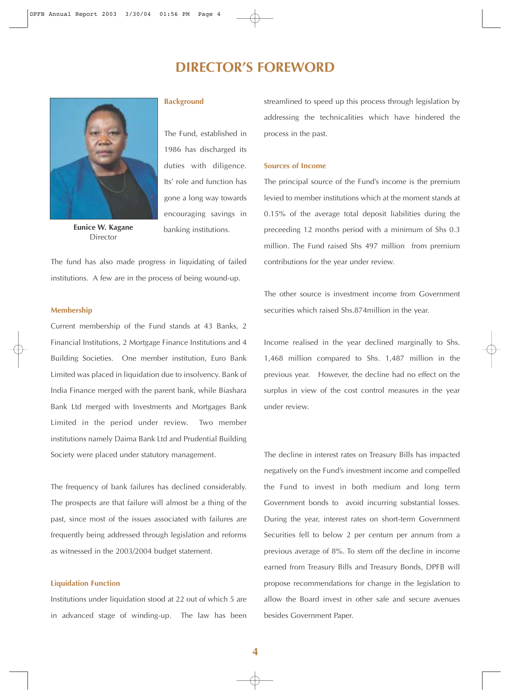### **DIRECTOR'S FOREWORD**



**Eunice W. Kagane** Director

#### **Background**

The Fund, established in 1986 has discharged its duties with diligence. Its' role and function has gone a long way towards encouraging savings in banking institutions.

The fund has also made progress in liquidating of failed institutions. A few are in the process of being wound-up.

#### **Membership**

Current membership of the Fund stands at 43 Banks, 2 Financial Institutions, 2 Mortgage Finance Institutions and 4 Building Societies. One member institution, Euro Bank Limited was placed in liquidation due to insolvency. Bank of India Finance merged with the parent bank, while Biashara Bank Ltd merged with Investments and Mortgages Bank Limited in the period under review. Two member institutions namely Daima Bank Ltd and Prudential Building Society were placed under statutory management.

The frequency of bank failures has declined considerably. The prospects are that failure will almost be a thing of the past, since most of the issues associated with failures are frequently being addressed through legislation and reforms as witnessed in the 2003/2004 budget statement.

#### **Liquidation Function**

Institutions under liquidation stood at 22 out of which 5 are in advanced stage of winding-up. The law has been streamlined to speed up this process through legislation by addressing the technicalities which have hindered the process in the past.

#### **Sources of Income**

The principal source of the Fund's income is the premium levied to member institutions which at the moment stands at 0.15% of the average total deposit liabilities during the preceeding 12 months period with a minimum of Shs 0.3 million. The Fund raised Shs 497 million from premium contributions for the year under review.

The other source is investment income from Government securities which raised Shs.874million in the year.

Income realised in the year declined marginally to Shs. 1,468 million compared to Shs. 1,487 million in the previous year. However, the decline had no effect on the surplus in view of the cost control measures in the year under review.

The decline in interest rates on Treasury Bills has impacted negatively on the Fund's investment income and compelled the Fund to invest in both medium and long term Government bonds to avoid incurring substantial losses. During the year, interest rates on short-term Government Securities fell to below 2 per centum per annum from a previous average of 8%. To stem off the decline in income earned from Treasury Bills and Treasury Bonds, DPFB will propose recommendations for change in the legislation to allow the Board invest in other safe and secure avenues besides Government Paper.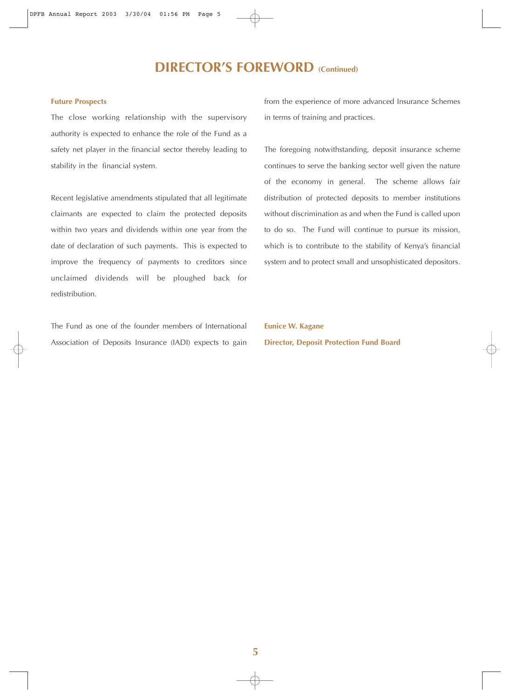## **DIRECTOR'S FOREWORD (Continued)**

#### **Future Prospects**

The close working relationship with the supervisory authority is expected to enhance the role of the Fund as a safety net player in the financial sector thereby leading to stability in the financial system.

Recent legislative amendments stipulated that all legitimate claimants are expected to claim the protected deposits within two years and dividends within one year from the date of declaration of such payments. This is expected to improve the frequency of payments to creditors since unclaimed dividends will be ploughed back for redistribution.

The Fund as one of the founder members of International Association of Deposits Insurance (IADI) expects to gain from the experience of more advanced Insurance Schemes in terms of training and practices.

The foregoing notwithstanding, deposit insurance scheme continues to serve the banking sector well given the nature of the economy in general. The scheme allows fair distribution of protected deposits to member institutions without discrimination as and when the Fund is called upon to do so. The Fund will continue to pursue its mission, which is to contribute to the stability of Kenya's financial system and to protect small and unsophisticated depositors.

**Eunice W. Kagane Director, Deposit Protection Fund Board**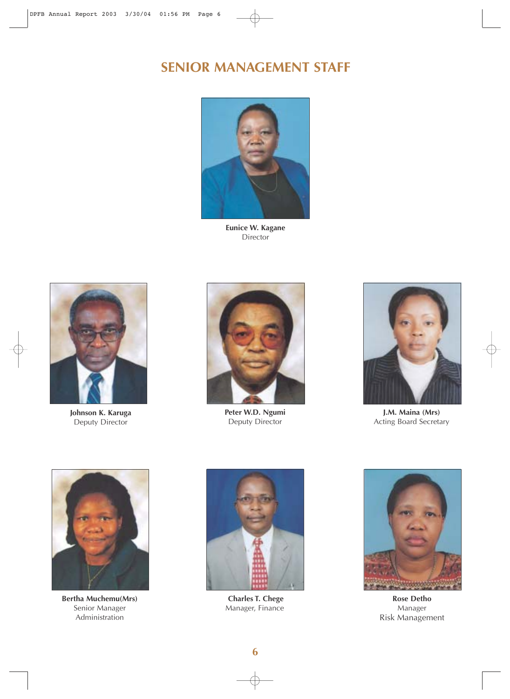## **SENIOR MANAGEMENT STAFF**



**Eunice W. Kagane Director** 



**Johnson K. Karuga** Deputy Director



**Peter W.D. Ngumi** Deputy Director



**J.M. Maina (Mrs)** Acting Board Secretary



**Bertha Muchemu(Mrs)** Senior Manager Administration



**Charles T. Chege** Manager, Finance



**Rose Detho** Manager Risk Management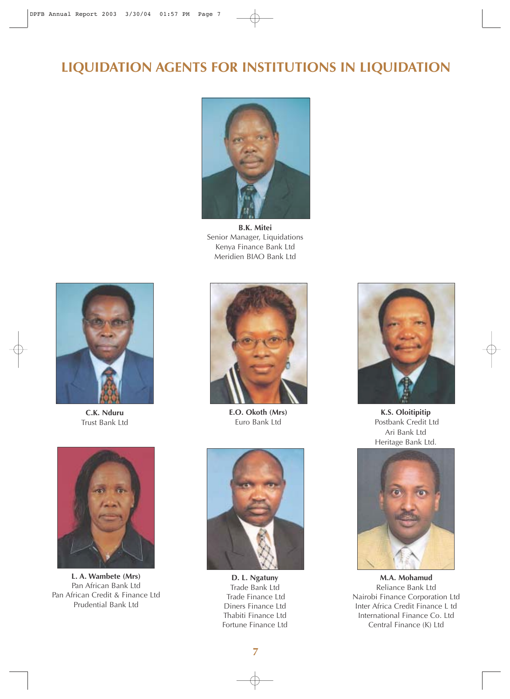# **LIQUIDATION AGENTS FOR INSTITUTIONS IN LIQUIDATION**



**B.K. Mitei** Senior Manager, Liquidations Kenya Finance Bank Ltd Meridien BIAO Bank Ltd



**C.K. Nduru** Trust Bank Ltd



**L. A. Wambete (Mrs)** Pan African Bank Ltd Pan African Credit & Finance Ltd Prudential Bank Ltd



**E.O. Okoth (Mrs)** Euro Bank Ltd



**D. L. Ngatuny** Trade Bank Ltd Trade Finance Ltd Diners Finance Ltd Thabiti Finance Ltd Fortune Finance Ltd



**K.S. Oloitipitip** Postbank Credit Ltd Ari Bank Ltd Heritage Bank Ltd.



**M.A. Mohamud** Reliance Bank Ltd Nairobi Finance Corporation Ltd Inter Africa Credit Finance L td International Finance Co. Ltd Central Finance (K) Ltd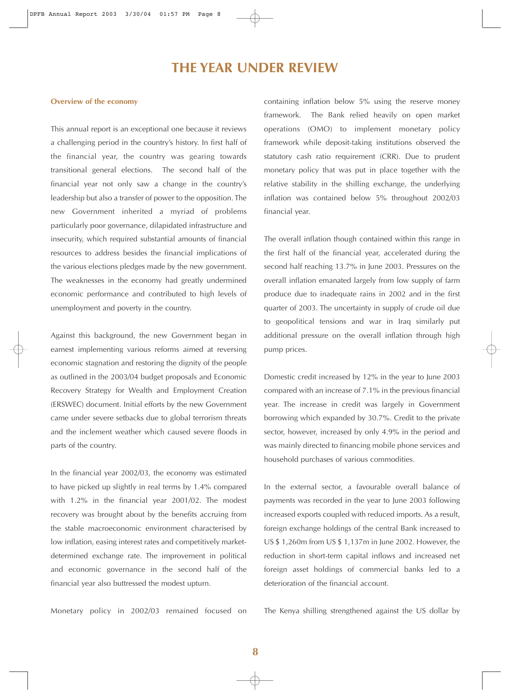### **THE YEAR UNDER REVIEW**

#### **Overview of the economy**

This annual report is an exceptional one because it reviews a challenging period in the country's history. In first half of the financial year, the country was gearing towards transitional general elections. The second half of the financial year not only saw a change in the country's leadership but also a transfer of power to the opposition. The new Government inherited a myriad of problems particularly poor governance, dilapidated infrastructure and insecurity, which required substantial amounts of financial resources to address besides the financial implications of the various elections pledges made by the new government. The weaknesses in the economy had greatly undermined economic performance and contributed to high levels of unemployment and poverty in the country.

Against this background, the new Government began in earnest implementing various reforms aimed at reversing economic stagnation and restoring the dignity of the people as outlined in the 2003/04 budget proposals and Economic Recovery Strategy for Wealth and Employment Creation (ERSWEC) document. Initial efforts by the new Government came under severe setbacks due to global terrorism threats and the inclement weather which caused severe floods in parts of the country.

In the financial year 2002/03, the economy was estimated to have picked up slightly in real terms by 1.4% compared with 1.2% in the financial year 2001/02. The modest recovery was brought about by the benefits accruing from the stable macroeconomic environment characterised by low inflation, easing interest rates and competitively marketdetermined exchange rate. The improvement in political and economic governance in the second half of the financial year also buttressed the modest upturn.

Monetary policy in 2002/03 remained focused on

containing inflation below 5% using the reserve money framework. The Bank relied heavily on open market operations (OMO) to implement monetary policy framework while deposit-taking institutions observed the statutory cash ratio requirement (CRR). Due to prudent monetary policy that was put in place together with the relative stability in the shilling exchange, the underlying inflation was contained below 5% throughout 2002/03 financial year.

The overall inflation though contained within this range in the first half of the financial year, accelerated during the second half reaching 13.7% in June 2003. Pressures on the overall inflation emanated largely from low supply of farm produce due to inadequate rains in 2002 and in the first quarter of 2003. The uncertainty in supply of crude oil due to geopolitical tensions and war in Iraq similarly put additional pressure on the overall inflation through high pump prices.

Domestic credit increased by 12% in the year to June 2003 compared with an increase of 7.1% in the previous financial year. The increase in credit was largely in Government borrowing which expanded by 30.7%. Credit to the private sector, however, increased by only 4.9% in the period and was mainly directed to financing mobile phone services and household purchases of various commodities.

In the external sector, a favourable overall balance of payments was recorded in the year to June 2003 following increased exports coupled with reduced imports. As a result, foreign exchange holdings of the central Bank increased to US \$ 1,260m from US \$ 1,137m in June 2002. However, the reduction in short-term capital inflows and increased net foreign asset holdings of commercial banks led to a deterioration of the financial account.

The Kenya shilling strengthened against the US dollar by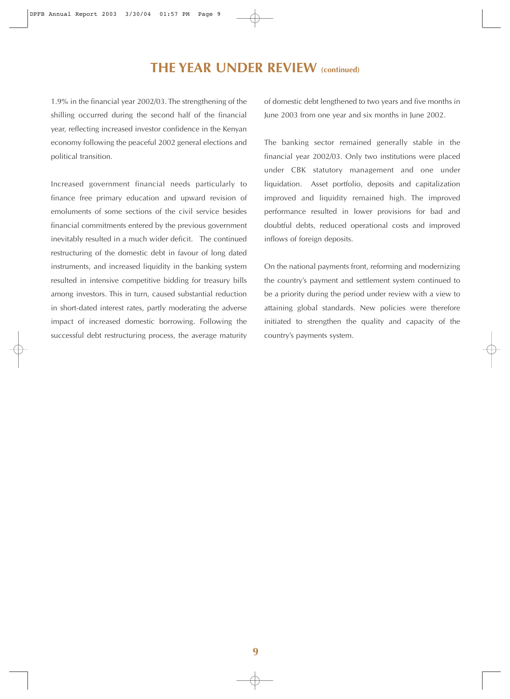**THE YEAR UNDER REVIEW (continued)**

1.9% in the financial year 2002/03. The strengthening of the shilling occurred during the second half of the financial year, reflecting increased investor confidence in the Kenyan economy following the peaceful 2002 general elections and political transition.

Increased government financial needs particularly to finance free primary education and upward revision of emoluments of some sections of the civil service besides financial commitments entered by the previous government inevitably resulted in a much wider deficit. The continued restructuring of the domestic debt in favour of long dated instruments, and increased liquidity in the banking system resulted in intensive competitive bidding for treasury bills among investors. This in turn, caused substantial reduction in short-dated interest rates, partly moderating the adverse impact of increased domestic borrowing. Following the successful debt restructuring process, the average maturity

of domestic debt lengthened to two years and five months in June 2003 from one year and six months in June 2002.

The banking sector remained generally stable in the financial year 2002/03. Only two institutions were placed under CBK statutory management and one under liquidation. Asset portfolio, deposits and capitalization improved and liquidity remained high. The improved performance resulted in lower provisions for bad and doubtful debts, reduced operational costs and improved inflows of foreign deposits.

On the national payments front, reforming and modernizing the country's payment and settlement system continued to be a priority during the period under review with a view to attaining global standards. New policies were therefore initiated to strengthen the quality and capacity of the country's payments system.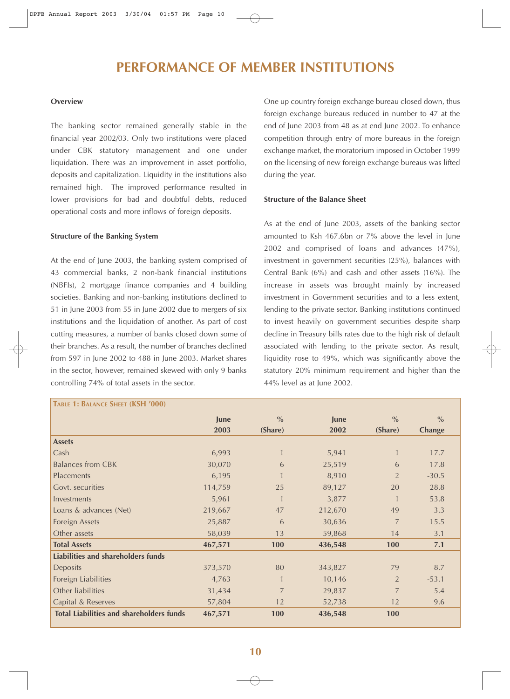### **PERFORMANCE OF MEMBER INSTITUTIONS**

#### **Overview**

The banking sector remained generally stable in the financial year 2002/03. Only two institutions were placed under CBK statutory management and one under liquidation. There was an improvement in asset portfolio, deposits and capitalization. Liquidity in the institutions also remained high. The improved performance resulted in lower provisions for bad and doubtful debts, reduced operational costs and more inflows of foreign deposits.

#### **Structure of the Banking System**

At the end of June 2003, the banking system comprised of 43 commercial banks, 2 non-bank financial institutions (NBFIs), 2 mortgage finance companies and 4 building societies. Banking and non-banking institutions declined to 51 in June 2003 from 55 in June 2002 due to mergers of six institutions and the liquidation of another. As part of cost cutting measures, a number of banks closed down some of their branches. As a result, the number of branches declined from 597 in June 2002 to 488 in June 2003. Market shares in the sector, however, remained skewed with only 9 banks controlling 74% of total assets in the sector.

One up country foreign exchange bureau closed down, thus foreign exchange bureaus reduced in number to 47 at the end of June 2003 from 48 as at end June 2002. To enhance competition through entry of more bureaus in the foreign exchange market, the moratorium imposed in October 1999 on the licensing of new foreign exchange bureaus was lifted during the year.

#### **Structure of the Balance Sheet**

As at the end of June 2003, assets of the banking sector amounted to Ksh 467.6bn or 7% above the level in June 2002 and comprised of loans and advances (47%), investment in government securities (25%), balances with Central Bank (6%) and cash and other assets (16%). The increase in assets was brought mainly by increased investment in Government securities and to a less extent, lending to the private sector. Banking institutions continued to invest heavily on government securities despite sharp decline in Treasury bills rates due to the high risk of default associated with lending to the private sector. As result, liquidity rose to 49%, which was significantly above the statutory 20% minimum requirement and higher than the 44% level as at June 2002.

| TABLE 1: BALANCE SHEET (KSH '000)               |             |                |             |                |               |
|-------------------------------------------------|-------------|----------------|-------------|----------------|---------------|
|                                                 | <b>June</b> | $\frac{0}{0}$  | <b>June</b> | $\frac{0}{0}$  | $\frac{0}{0}$ |
|                                                 | 2003        | (Share)        | 2002        | (Share)        | <b>Change</b> |
| <b>Assets</b>                                   |             |                |             |                |               |
| Cash                                            | 6,993       | $\mathbf{1}$   | 5,941       | $\mathbf{1}$   | 17.7          |
| <b>Balances from CBK</b>                        | 30,070      | 6              | 25,519      | 6              | 17.8          |
| <b>Placements</b>                               | 6,195       | $\mathbf{1}$   | 8,910       | $\overline{2}$ | $-30.5$       |
| Govt. securities                                | 114,759     | 25             | 89,127      | 20             | 28.8          |
| Investments                                     | 5,961       | $\mathbf{1}$   | 3,877       |                | 53.8          |
| Loans & advances (Net)                          | 219,667     | 47             | 212,670     | 49             | 3.3           |
| <b>Foreign Assets</b>                           | 25,887      | 6              | 30,636      | $\overline{7}$ | 15.5          |
| Other assets                                    | 58,039      | 13             | 59,868      | 14             | 3.1           |
| <b>Total Assets</b>                             | 467,571     | 100            | 436,548     | 100            | 7.1           |
| Liabilities and shareholders funds              |             |                |             |                |               |
| Deposits                                        | 373,570     | 80             | 343,827     | 79             | 8.7           |
| Foreign Liabilities                             | 4,763       | $\mathbf{1}$   | 10,146      | 2              | $-53.1$       |
| Other liabilities                               | 31,434      | $\overline{7}$ | 29,837      | $\overline{7}$ | 5.4           |
| Capital & Reserves                              | 57,804      | 12             | 52,738      | 12             | 9.6           |
| <b>Total Liabilities and shareholders funds</b> | 467,571     | 100            | 436,548     | <b>100</b>     |               |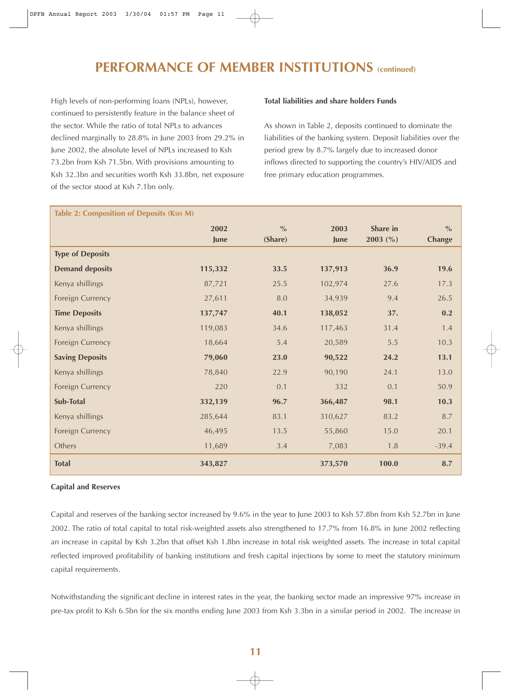## **PERFORMANCE OF MEMBER INSTITUTIONS (continued)**

High levels of non-performing loans (NPLs), however, continued to persistently feature in the balance sheet of the sector. While the ratio of total NPLs to advances declined marginally to 28.8% in June 2003 from 29.2% in June 2002, the absolute level of NPLs increased to Ksh 73.2bn from Ksh 71.5bn. With provisions amounting to Ksh 32.3bn and securities worth Ksh 33.8bn, net exposure of the sector stood at Ksh 7.1bn only.

#### **Total liabilities and share holders Funds**

As shown in Table 2, deposits continued to dominate the liabilities of the banking system. Deposit liabilities over the period grew by 8.7% largely due to increased donor inflows directed to supporting the country's HIV/AIDS and free primary education programmes.

| Table 2: Composition of Deposits (KSH M) |         |               |         |            |               |
|------------------------------------------|---------|---------------|---------|------------|---------------|
|                                          | 2002    | $\frac{0}{0}$ | 2003    | Share in   | $\frac{0}{0}$ |
|                                          | June    | (Share)       | June    | $2003$ (%) | <b>Change</b> |
| <b>Type of Deposits</b>                  |         |               |         |            |               |
| <b>Demand deposits</b>                   | 115,332 | 33.5          | 137,913 | 36.9       | 19.6          |
| Kenya shillings                          | 87,721  | 25.5          | 102,974 | 27.6       | 17.3          |
| Foreign Currency                         | 27,611  | 8.0           | 34,939  | 9.4        | 26.5          |
| <b>Time Deposits</b>                     | 137,747 | 40.1          | 138,052 | 37.        | 0.2           |
| Kenya shillings                          | 119,083 | 34.6          | 117,463 | 31.4       | $1.4$         |
| Foreign Currency                         | 18,664  | 5.4           | 20,589  | 5.5        | 10.3          |
| <b>Saving Deposits</b>                   | 79,060  | 23.0          | 90,522  | 24.2       | 13.1          |
| Kenya shillings                          | 78,840  | 22.9          | 90,190  | 24.1       | 13.0          |
| Foreign Currency                         | 220     | 0.1           | 332     | 0.1        | 50.9          |
| <b>Sub-Total</b>                         | 332,139 | 96.7          | 366,487 | 98.1       | 10.3          |
| Kenya shillings                          | 285,644 | 83.1          | 310,627 | 83.2       | 8.7           |
| Foreign Currency                         | 46,495  | 13.5          | 55,860  | 15.0       | 20.1          |
| Others                                   | 11,689  | 3.4           | 7,083   | 1.8        | $-39.4$       |
| <b>Total</b>                             | 343,827 |               | 373,570 | 100.0      | 8.7           |

#### **Capital and Reserves**

Capital and reserves of the banking sector increased by 9.6% in the year to June 2003 to Ksh 57.8bn from Ksh 52.7bn in June 2002. The ratio of total capital to total risk-weighted assets also strengthened to 17.7% from 16.8% in June 2002 reflecting an increase in capital by Ksh 3.2bn that offset Ksh 1.8bn increase in total risk weighted assets. The increase in total capital reflected improved profitability of banking institutions and fresh capital injections by some to meet the statutory minimum capital requirements.

Notwithstanding the significant decline in interest rates in the year, the banking sector made an impressive 97% increase in pre-tax profit to Ksh 6.5bn for the six months ending June 2003 from Ksh 3.3bn in a similar period in 2002. The increase in

#### **11**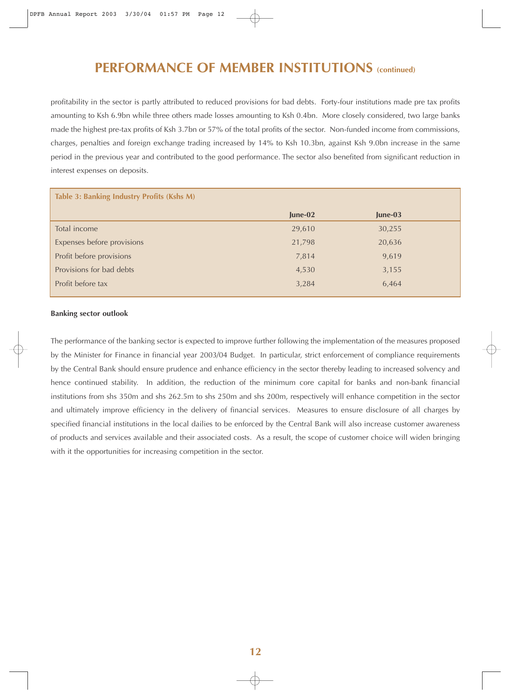### **PERFORMANCE OF MEMBER INSTITUTIONS (continued)**

profitability in the sector is partly attributed to reduced provisions for bad debts. Forty-four institutions made pre tax profits amounting to Ksh 6.9bn while three others made losses amounting to Ksh 0.4bn. More closely considered, two large banks made the highest pre-tax profits of Ksh 3.7bn or 57% of the total profits of the sector. Non-funded income from commissions, charges, penalties and foreign exchange trading increased by 14% to Ksh 10.3bn, against Ksh 9.0bn increase in the same period in the previous year and contributed to the good performance. The sector also benefited from significant reduction in interest expenses on deposits.

| Table 3: Banking Industry Profits (Kshs M) |           |           |  |  |
|--------------------------------------------|-----------|-----------|--|--|
|                                            | $June-02$ | $June-03$ |  |  |
| Total income                               | 29,610    | 30,255    |  |  |
| Expenses before provisions                 | 21,798    | 20,636    |  |  |
| Profit before provisions                   | 7,814     | 9,619     |  |  |
| Provisions for bad debts                   | 4,530     | 3,155     |  |  |
| Profit before tax                          | 3,284     | 6,464     |  |  |
|                                            |           |           |  |  |

#### **Banking sector outlook**

The performance of the banking sector is expected to improve further following the implementation of the measures proposed by the Minister for Finance in financial year 2003/04 Budget. In particular, strict enforcement of compliance requirements by the Central Bank should ensure prudence and enhance efficiency in the sector thereby leading to increased solvency and hence continued stability. In addition, the reduction of the minimum core capital for banks and non-bank financial institutions from shs 350m and shs 262.5m to shs 250m and shs 200m, respectively will enhance competition in the sector and ultimately improve efficiency in the delivery of financial services. Measures to ensure disclosure of all charges by specified financial institutions in the local dailies to be enforced by the Central Bank will also increase customer awareness of products and services available and their associated costs. As a result, the scope of customer choice will widen bringing with it the opportunities for increasing competition in the sector.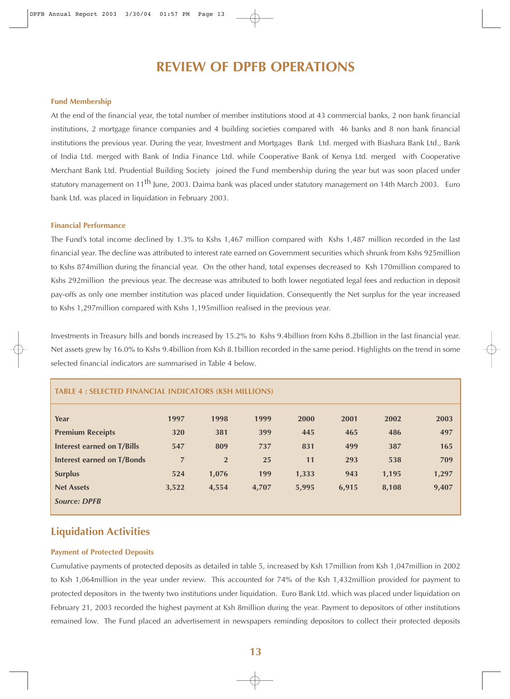### **REVIEW OF DPFB OPERATIONS**

#### **Fund Membership**

At the end of the financial year, the total number of member institutions stood at 43 commercial banks, 2 non bank financial institutions, 2 mortgage finance companies and 4 building societies compared with 46 banks and 8 non bank financial institutions the previous year. During the year, Investment and Mortgages Bank Ltd. merged with Biashara Bank Ltd., Bank of India Ltd. merged with Bank of India Finance Ltd. while Cooperative Bank of Kenya Ltd. merged with Cooperative Merchant Bank Ltd. Prudential Building Society joined the Fund membership during the year but was soon placed under statutory management on 11<sup>th</sup> June, 2003. Daima bank was placed under statutory management on 14th March 2003. Euro bank Ltd. was placed in liquidation in February 2003.

#### **Financial Performance**

The Fund's total income declined by 1.3% to Kshs 1,467 million compared with Kshs 1,487 million recorded in the last financial year. The decline was attributed to interest rate earned on Government securities which shrunk from Kshs 925million to Kshs 874million during the financial year. On the other hand, total expenses decreased to Ksh 170million compared to Kshs 292million the previous year. The decrease was attributed to both lower negotiated legal fees and reduction in deposit pay-offs as only one member institution was placed under liquidation. Consequently the Net surplus for the year increased to Kshs 1,297million compared with Kshs 1,195million realised in the previous year.

Investments in Treasury bills and bonds increased by 15.2% to Kshs 9.4billion from Kshs 8.2billion in the last financial year. Net assets grew by 16.0% to Kshs 9.4billion from Ksh 8.1billion recorded in the same period. Highlights on the trend in some selected financial indicators are summarised in Table 4 below.

| Year                       | 1997           | 1998           | 1999  | 2000  | 2001  | 2002  | 2003  |
|----------------------------|----------------|----------------|-------|-------|-------|-------|-------|
| <b>Premium Receipts</b>    | 320            | 381            | 399   | 445   | 465   | 486   | 497   |
| Interest earned on T/Bills | 547            | 809            | 737   | 831   | 499   | 387   | 165   |
| Interest earned on T/Bonds | $\overline{7}$ | $\overline{2}$ | 25    | 11    | 293   | 538   | 709   |
| <b>Surplus</b>             | 524            | 1,076          | 199   | 1,333 | 943   | 1,195 | 1,297 |
| <b>Net Assets</b>          | 3,522          | 4,554          | 4,707 | 5,995 | 6,915 | 8,108 | 9,407 |
| <b>Source: DPFB</b>        |                |                |       |       |       |       |       |

**TABLE 4 : SELECTED FINANCIAL INDICATORS (KSH MILLIONS)**

### **Liquidation Activities**

#### **Payment of Protected Deposits**

Cumulative payments of protected deposits as detailed in table 5, increased by Ksh 17million from Ksh 1,047million in 2002 to Ksh 1,064million in the year under review. This accounted for 74% of the Ksh 1,432million provided for payment to protected depositors in the twenty two institutions under liquidation. Euro Bank Ltd. which was placed under liquidation on February 21, 2003 recorded the highest payment at Ksh 8million during the year. Payment to depositors of other institutions remained low. The Fund placed an advertisement in newspapers reminding depositors to collect their protected deposits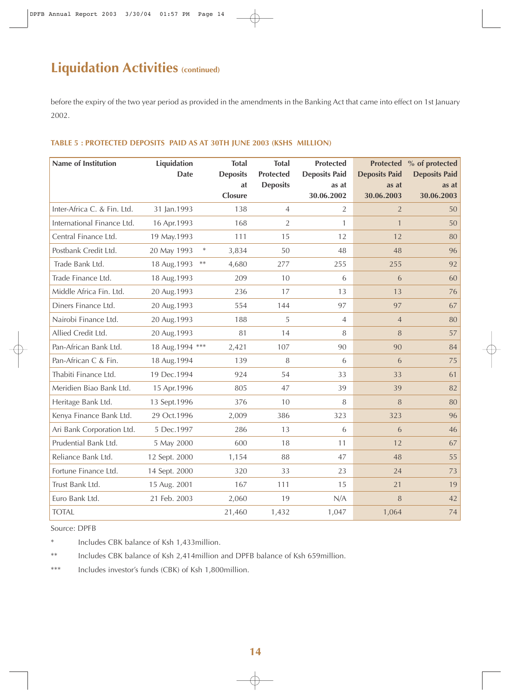# **Liquidation Activities (continued)**

before the expiry of the two year period as provided in the amendments in the Banking Act that came into effect on 1st January 2002.

#### **TABLE 5 : PROTECTED DEPOSITS PAID AS AT 30TH JUNE 2003 (KSHS MILLION)**

| <b>Name of Institution</b>  | Liquidation<br><b>Date</b> | <b>Total</b><br><b>Deposits</b> | <b>Total</b><br><b>Protected</b> | <b>Protected</b><br><b>Deposits Paid</b> | <b>Deposits Paid</b> | Protected % of protected<br><b>Deposits Paid</b> |
|-----------------------------|----------------------------|---------------------------------|----------------------------------|------------------------------------------|----------------------|--------------------------------------------------|
|                             |                            | at                              | <b>Deposits</b>                  | as at                                    | as at                | as at                                            |
|                             |                            | Closure                         |                                  | 30.06.2002                               | 30.06.2003           | 30.06.2003                                       |
| Inter-Africa C. & Fin. Ltd. | 31 Jan.1993                | 138                             | $\overline{4}$                   | $\overline{2}$                           | $\overline{2}$       | 50                                               |
| International Finance Ltd.  | 16 Apr.1993                | 168                             | $\overline{2}$                   | 1                                        | $\mathbf{1}$         | 50                                               |
| Central Finance Ltd.        | 19 May.1993                | 111                             | 15                               | 12                                       | 12                   | 80                                               |
| Postbank Credit Ltd.        | $\ast$<br>20 May 1993      | 3,834                           | 50                               | 48                                       | 48                   | 96                                               |
| Trade Bank Ltd.             | $***$<br>18 Aug. 1993      | 4,680                           | 277                              | 255                                      | 255                  | 92                                               |
| Trade Finance Ltd.          | 18 Aug.1993                | 209                             | 10                               | 6                                        | 6                    | 60                                               |
| Middle Africa Fin. Ltd.     | 20 Aug.1993                | 236                             | 17                               | 13                                       | 13                   | 76                                               |
| Diners Finance Ltd.         | 20 Aug.1993                | 554                             | 144                              | 97                                       | 97                   | 67                                               |
| Nairobi Finance Ltd.        | 20 Aug.1993                | 188                             | 5                                | $\overline{4}$                           | $\overline{4}$       | 80                                               |
| Allied Credit Ltd.          | 20 Aug.1993                | 81                              | 14                               | 8                                        | 8                    | 57                                               |
| Pan-African Bank Ltd.       | 18 Aug.1994 ***            | 2,421                           | 107                              | 90                                       | 90                   | 84                                               |
| Pan-African C & Fin.        | 18 Aug.1994                | 139                             | 8                                | 6                                        | 6                    | 75                                               |
| Thabiti Finance Ltd.        | 19 Dec.1994                | 924                             | 54                               | 33                                       | 33                   | 61                                               |
| Meridien Biao Bank Ltd.     | 15 Apr.1996                | 805                             | 47                               | 39                                       | 39                   | 82                                               |
| Heritage Bank Ltd.          | 13 Sept.1996               | 376                             | 10                               | 8                                        | 8                    | 80                                               |
| Kenya Finance Bank Ltd.     | 29 Oct.1996                | 2,009                           | 386                              | 323                                      | 323                  | 96                                               |
| Ari Bank Corporation Ltd.   | 5 Dec.1997                 | 286                             | 13                               | 6                                        | 6                    | 46                                               |
| Prudential Bank Ltd.        | 5 May 2000                 | 600                             | 18                               | 11                                       | 12                   | 67                                               |
| Reliance Bank Ltd.          | 12 Sept. 2000              | 1,154                           | 88                               | 47                                       | 48                   | 55                                               |
| Fortune Finance Ltd.        | 14 Sept. 2000              | 320                             | 33                               | 23                                       | 24                   | 73                                               |
| Trust Bank Ltd.             | 15 Aug. 2001               | 167                             | 111                              | 15                                       | 21                   | 19                                               |
| Euro Bank Ltd.              | 21 Feb. 2003               | 2,060                           | 19                               | N/A                                      | 8                    | 42                                               |
| <b>TOTAL</b>                |                            | 21,460                          | 1,432                            | 1,047                                    | 1,064                | 74                                               |

Source: DPFB

\* Includes CBK balance of Ksh 1,433million.

\*\* Includes CBK balance of Ksh 2,414million and DPFB balance of Ksh 659million.

\*\*\* Includes investor's funds (CBK) of Ksh 1,800million.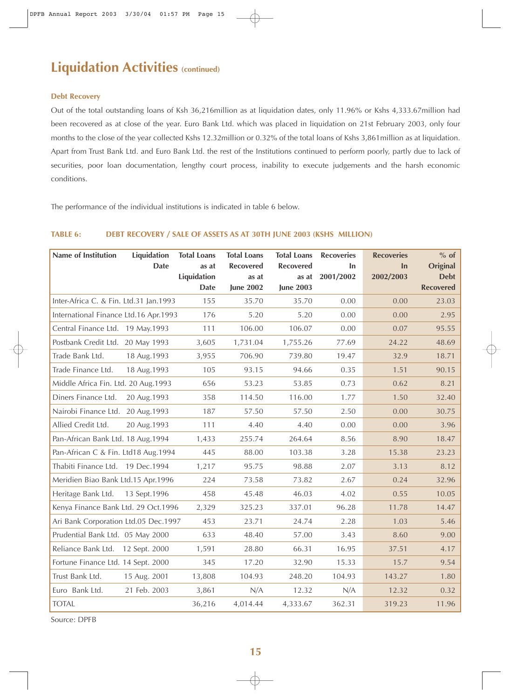## **Liquidation Activities (continued)**

#### **Debt Recovery**

Out of the total outstanding loans of Ksh 36,216million as at liquidation dates, only 11.96% or Kshs 4,333.67million had been recovered as at close of the year. Euro Bank Ltd. which was placed in liquidation on 21st February 2003, only four months to the close of the year collected Kshs 12.32million or 0.32% of the total loans of Kshs 3,861million as at liquidation. Apart from Trust Bank Ltd. and Euro Bank Ltd. the rest of the Institutions continued to perform poorly, partly due to lack of securities, poor loan documentation, lengthy court process, inability to execute judgements and the harsh economic conditions.

The performance of the individual institutions is indicated in table 6 below.

#### **TABLE 6: DEBT RECOVERY / SALE OF ASSETS AS AT 30TH JUNE 2003 (KSHS MILLION)**

| <b>Name of Institution</b>             | Liquidation  | <b>Total Loans</b>   | <b>Total Loans</b>        | <b>Total Loans</b>        | <b>Recoveries</b>      | <b>Recoveries</b> | $%$ of                         |
|----------------------------------------|--------------|----------------------|---------------------------|---------------------------|------------------------|-------------------|--------------------------------|
|                                        | <b>Date</b>  | as at<br>Liquidation | <b>Recovered</b><br>as at | <b>Recovered</b><br>as at | <b>In</b><br>2001/2002 | In.<br>2002/2003  | <b>Original</b><br><b>Debt</b> |
|                                        |              | <b>Date</b>          | <b>June 2002</b>          | <b>June 2003</b>          |                        |                   | <b>Recovered</b>               |
| Inter-Africa C. & Fin. Ltd.31 Jan.1993 |              | 155                  | 35.70                     | 35.70                     | 0.00                   | 0.00              | 23.03                          |
| International Finance Ltd.16 Apr.1993  |              | 176                  | 5.20                      | 5.20                      | 0.00                   | 0.00              | 2.95                           |
| Central Finance Ltd. 19 May.1993       |              | 111                  | 106.00                    | 106.07                    | 0.00                   | 0.07              | 95.55                          |
| Postbank Credit Ltd. 20 May 1993       |              | 3,605                | 1,731.04                  | 1,755.26                  | 77.69                  | 24.22             | 48.69                          |
| Trade Bank Ltd.                        | 18 Aug. 1993 | 3,955                | 706.90                    | 739.80                    | 19.47                  | 32.9              | 18.71                          |
| Trade Finance Ltd.                     | 18 Aug. 1993 | 105                  | 93.15                     | 94.66                     | 0.35                   | 1.51              | 90.15                          |
| Middle Africa Fin. Ltd. 20 Aug.1993    |              | 656                  | 53.23                     | 53.85                     | 0.73                   | 0.62              | 8.21                           |
| Diners Finance Ltd.                    | 20 Aug. 1993 | 358                  | 114.50                    | 116.00                    | 1.77                   | 1.50              | 32.40                          |
| Nairobi Finance Ltd. 20 Aug.1993       |              | 187                  | 57.50                     | 57.50                     | 2.50                   | 0.00              | 30.75                          |
| Allied Credit Ltd.                     | 20 Aug.1993  | 111                  | 4.40                      | 4.40                      | 0.00                   | 0.00              | 3.96                           |
| Pan-African Bank Ltd. 18 Aug. 1994     |              | 1,433                | 255.74                    | 264.64                    | 8.56                   | 8.90              | 18.47                          |
| Pan-African C & Fin. Ltd18 Aug.1994    |              | 445                  | 88.00                     | 103.38                    | 3.28                   | 15.38             | 23.23                          |
| Thabiti Finance Ltd. 19 Dec.1994       |              | 1,217                | 95.75                     | 98.88                     | 2.07                   | 3.13              | 8.12                           |
| Meridien Biao Bank Ltd.15 Apr.1996     |              | 224                  | 73.58                     | 73.82                     | 2.67                   | 0.24              | 32.96                          |
| Heritage Bank Ltd.                     | 13 Sept.1996 | 458                  | 45.48                     | 46.03                     | 4.02                   | 0.55              | 10.05                          |
| Kenya Finance Bank Ltd. 29 Oct.1996    |              | 2,329                | 325.23                    | 337.01                    | 96.28                  | 11.78             | 14.47                          |
| Ari Bank Corporation Ltd.05 Dec.1997   |              | 453                  | 23.71                     | 24.74                     | 2.28                   | 1.03              | 5.46                           |
| Prudential Bank Ltd. 05 May 2000       |              | 633                  | 48.40                     | 57.00                     | 3.43                   | 8.60              | 9.00                           |
| Reliance Bank Ltd. 12 Sept. 2000       |              | 1,591                | 28.80                     | 66.31                     | 16.95                  | 37.51             | 4.17                           |
| Fortune Finance Ltd. 14 Sept. 2000     |              | 345                  | 17.20                     | 32.90                     | 15.33                  | 15.7              | 9.54                           |
| Trust Bank Ltd.                        | 15 Aug. 2001 | 13,808               | 104.93                    | 248.20                    | 104.93                 | 143.27            | 1.80                           |
| Euro Bank Ltd.                         | 21 Feb. 2003 | 3,861                | N/A                       | 12.32                     | N/A                    | 12.32             | 0.32                           |
| <b>TOTAL</b>                           |              | 36,216               | 4,014.44                  | 4,333.67                  | 362.31                 | 319.23            | 11.96                          |

Source: DPFB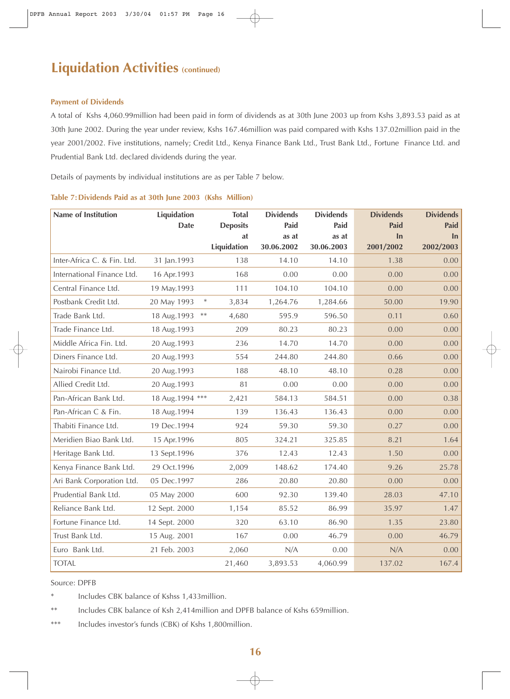# **Liquidation Activities (continued)**

#### **Payment of Dividends**

A total of Kshs 4,060.99million had been paid in form of dividends as at 30th June 2003 up from Kshs 3,893.53 paid as at 30th June 2002. During the year under review, Kshs 167.46million was paid compared with Kshs 137.02million paid in the year 2001/2002. Five institutions, namely; Credit Ltd., Kenya Finance Bank Ltd., Trust Bank Ltd., Fortune Finance Ltd. and Prudential Bank Ltd. declared dividends during the year.

Details of payments by individual institutions are as per Table 7 below.

| <b>Name of Institution</b>  | <b>Liquidation</b>        | <b>Total</b>       | <b>Dividends</b> | <b>Dividends</b> | <b>Dividends</b> | <b>Dividends</b> |
|-----------------------------|---------------------------|--------------------|------------------|------------------|------------------|------------------|
|                             | <b>Date</b>               | <b>Deposits</b>    | Paid             | Paid             | Paid             | Paid             |
|                             |                           | at                 | as at            | as at            | In               | In               |
|                             |                           | <b>Liquidation</b> | 30.06.2002       | 30.06.2003       | 2001/2002        | 2002/2003        |
| Inter-Africa C. & Fin. Ltd. | 31 Jan.1993               | 138                | 14.10            | 14.10            | 1.38             | 0.00             |
| International Finance Ltd.  | 16 Apr.1993               | 168                | 0.00             | 0.00             | 0.00             | 0.00             |
| Central Finance Ltd.        | 19 May.1993               | 111                | 104.10           | 104.10           | 0.00             | 0.00             |
| Postbank Credit Ltd.        | $\ast$<br>20 May 1993     | 3,834              | 1,264.76         | 1,284.66         | 50.00            | 19.90            |
| Trade Bank Ltd.             | $\ast\ast$<br>18 Aug.1993 | 4,680              | 595.9            | 596.50           | 0.11             | 0.60             |
| Trade Finance Ltd.          | 18 Aug.1993               | 209                | 80.23            | 80.23            | 0.00             | 0.00             |
| Middle Africa Fin. Ltd.     | 20 Aug.1993               | 236                | 14.70            | 14.70            | 0.00             | 0.00             |
| Diners Finance Ltd.         | 20 Aug.1993               | 554                | 244.80           | 244.80           | 0.66             | 0.00             |
| Nairobi Finance Ltd.        | 20 Aug.1993               | 188                | 48.10            | 48.10            | 0.28             | 0.00             |
| Allied Credit Ltd.          | 20 Aug.1993               | 81                 | 0.00             | 0.00             | 0.00             | 0.00             |
| Pan-African Bank Ltd.       | 18 Aug.1994 ***           | 2,421              | 584.13           | 584.51           | 0.00             | 0.38             |
| Pan-African C & Fin.        | 18 Aug.1994               | 139                | 136.43           | 136.43           | 0.00             | 0.00             |
| Thabiti Finance Ltd.        | 19 Dec.1994               | 924                | 59.30            | 59.30            | 0.27             | 0.00             |
| Meridien Biao Bank Ltd.     | 15 Apr.1996               | 805                | 324.21           | 325.85           | 8.21             | 1.64             |
| Heritage Bank Ltd.          | 13 Sept.1996              | 376                | 12.43            | 12.43            | 1.50             | 0.00             |
| Kenya Finance Bank Ltd.     | 29 Oct.1996               | 2,009              | 148.62           | 174.40           | 9.26             | 25.78            |
| Ari Bank Corporation Ltd.   | 05 Dec.1997               | 286                | 20.80            | 20.80            | 0.00             | 0.00             |
| Prudential Bank Ltd.        | 05 May 2000               | 600                | 92.30            | 139.40           | 28.03            | 47.10            |
| Reliance Bank Ltd.          | 12 Sept. 2000             | 1,154              | 85.52            | 86.99            | 35.97            | 1.47             |
| Fortune Finance Ltd.        | 14 Sept. 2000             | 320                | 63.10            | 86.90            | 1.35             | 23.80            |
| Trust Bank Ltd.             | 15 Aug. 2001              | 167                | 0.00             | 46.79            | 0.00             | 46.79            |
| Euro Bank Ltd.              | 21 Feb. 2003              | 2,060              | N/A              | 0.00             | N/A              | 0.00             |
| <b>TOTAL</b>                |                           | 21,460             | 3,893.53         | 4,060.99         | 137.02           | 167.4            |

#### **Table 7: Dividends Paid as at 30th June 2003 (Kshs Million)**

Source: DPFB

\* Includes CBK balance of Kshss 1,433million.

\*\* Includes CBK balance of Ksh 2,414million and DPFB balance of Kshs 659million.

\*\*\* Includes investor's funds (CBK) of Kshs 1,800million.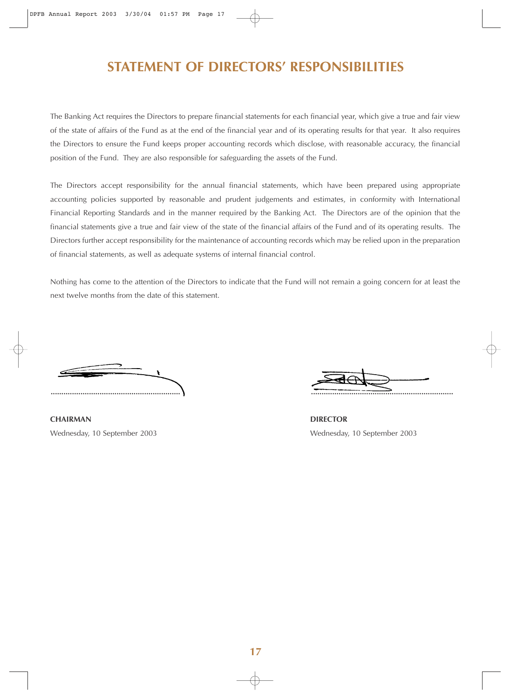## **STATEMENT OF DIRECTORS' RESPONSIBILITIES**

The Banking Act requires the Directors to prepare financial statements for each financial year, which give a true and fair view of the state of affairs of the Fund as at the end of the financial year and of its operating results for that year. It also requires the Directors to ensure the Fund keeps proper accounting records which disclose, with reasonable accuracy, the financial position of the Fund. They are also responsible for safeguarding the assets of the Fund.

The Directors accept responsibility for the annual financial statements, which have been prepared using appropriate accounting policies supported by reasonable and prudent judgements and estimates, in conformity with International Financial Reporting Standards and in the manner required by the Banking Act. The Directors are of the opinion that the financial statements give a true and fair view of the state of the financial affairs of the Fund and of its operating results. The Directors further accept responsibility for the maintenance of accounting records which may be relied upon in the preparation of financial statements, as well as adequate systems of internal financial control.

Nothing has come to the attention of the Directors to indicate that the Fund will not remain a going concern for at least the next twelve months from the date of this statement.

**............................................................. ...................................................................**

**CHAIRMAN** DIRECTOR

Wednesday, 10 September 2003 Wednesday, 10 September 2003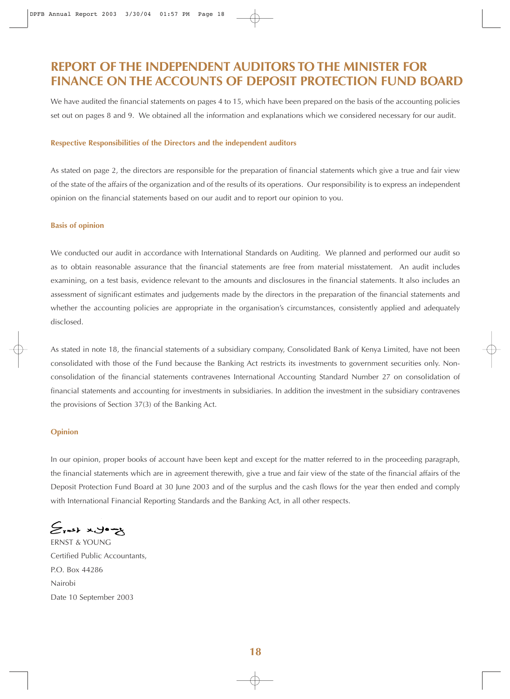### **REPORT OF THE INDEPENDENT AUDITORS TO THE MINISTER FOR FINANCE ON THE ACCOUNTS OF DEPOSIT PROTECTION FUND BOARD**

We have audited the financial statements on pages 4 to 15, which have been prepared on the basis of the accounting policies set out on pages 8 and 9. We obtained all the information and explanations which we considered necessary for our audit.

#### **Respective Responsibilities of the Directors and the independent auditors**

As stated on page 2, the directors are responsible for the preparation of financial statements which give a true and fair view of the state of the affairs of the organization and of the results of its operations. Our responsibility is to express an independent opinion on the financial statements based on our audit and to report our opinion to you.

#### **Basis of opinion**

We conducted our audit in accordance with International Standards on Auditing. We planned and performed our audit so as to obtain reasonable assurance that the financial statements are free from material misstatement. An audit includes examining, on a test basis, evidence relevant to the amounts and disclosures in the financial statements. It also includes an assessment of significant estimates and judgements made by the directors in the preparation of the financial statements and whether the accounting policies are appropriate in the organisation's circumstances, consistently applied and adequately disclosed.

As stated in note 18, the financial statements of a subsidiary company, Consolidated Bank of Kenya Limited, have not been consolidated with those of the Fund because the Banking Act restricts its investments to government securities only. Nonconsolidation of the financial statements contravenes International Accounting Standard Number 27 on consolidation of financial statements and accounting for investments in subsidiaries. In addition the investment in the subsidiary contravenes the provisions of Section 37(3) of the Banking Act.

#### **Opinion**

In our opinion, proper books of account have been kept and except for the matter referred to in the proceeding paragraph, the financial statements which are in agreement therewith, give a true and fair view of the state of the financial affairs of the Deposit Protection Fund Board at 30 June 2003 and of the surplus and the cash flows for the year then ended and comply with International Financial Reporting Standards and the Banking Act, in all other respects.

 $S$ rask xyo $-S$ 

ERNST & YOUNG Certified Public Accountants, P.O. Box 44286 Nairobi Date 10 September 2003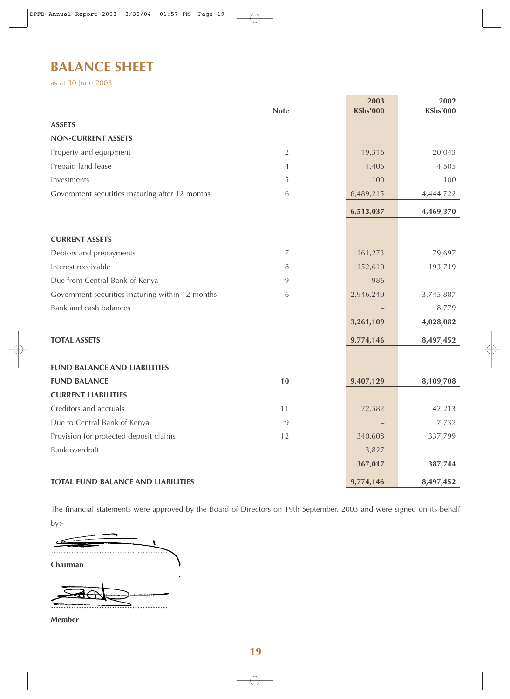## **BALANCE SHEET**

as at 30 June 2003

|                                                 | <b>Note</b>    | 2003<br><b>KShs'000</b> | 2002<br><b>KShs'000</b> |
|-------------------------------------------------|----------------|-------------------------|-------------------------|
| <b>ASSETS</b>                                   |                |                         |                         |
| <b>NON-CURRENT ASSETS</b>                       |                |                         |                         |
| Property and equipment                          | $\overline{2}$ | 19,316                  | 20,043                  |
| Prepaid land lease                              | $\overline{4}$ | 4,406                   | 4,505                   |
| Investments                                     | 5              | 100                     | 100                     |
| Government securities maturing after 12 months  | 6              | 6,489,215               | 4,444,722               |
|                                                 |                | 6,513,037               | 4,469,370               |
| <b>CURRENT ASSETS</b>                           |                |                         |                         |
| Debtors and prepayments                         | $\overline{7}$ | 161,273                 | 79,697                  |
| Interest receivable                             | 8              | 152,610                 | 193,719                 |
| Due from Central Bank of Kenya                  | 9              | 986                     |                         |
| Government securities maturing within 12 months | 6              | 2,946,240               | 3,745,887               |
| Bank and cash balances                          |                |                         | 8,779                   |
|                                                 |                | 3,261,109               | 4,028,082               |
| <b>TOTAL ASSETS</b>                             |                | 9,774,146               | 8,497,452               |
|                                                 |                |                         |                         |
| <b>FUND BALANCE AND LIABILITIES</b>             |                |                         |                         |
| <b>FUND BALANCE</b>                             | 10             | 9,407,129               | 8,109,708               |
| <b>CURRENT LIABILITIES</b>                      |                |                         |                         |
| Creditors and accruals                          | 11             | 22,582                  | 42,213                  |
| Due to Central Bank of Kenya                    | 9              |                         | 7,732                   |
| Provision for protected deposit claims          | 12             | 340,608                 | 337,799                 |
| Bank overdraft                                  |                | 3,827                   |                         |
|                                                 |                | 367,017                 | 387,744                 |
| <b>TOTAL FUND BALANCE AND LIABILITIES</b>       |                | 9,774,146               | 8,497,452               |

↔

The financial statements were approved by the Board of Directors on 19th September, 2003 and were signed on its behalf by:-

 $\mathbf{S}$ ………………………………………. **Chairman** 

**……………………………………….**

**Member**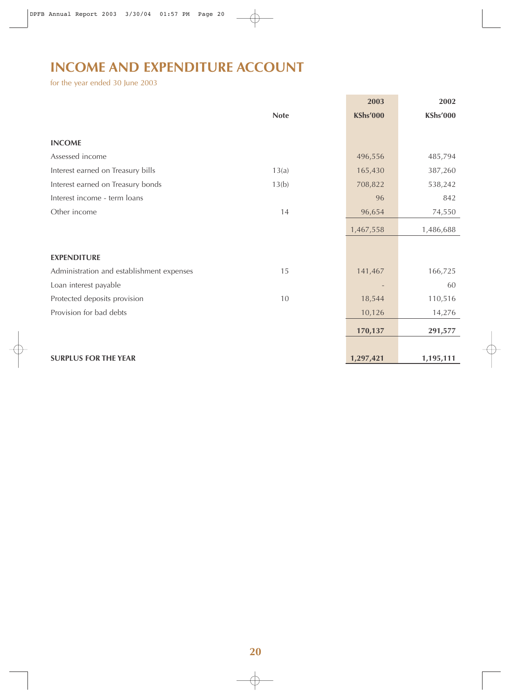# **INCOME AND EXPENDITURE ACCOUNT**

for the year ended 30 June 2003

|                                           |             | 2003            | 2002            |
|-------------------------------------------|-------------|-----------------|-----------------|
|                                           | <b>Note</b> | <b>KShs'000</b> | <b>KShs'000</b> |
|                                           |             |                 |                 |
| <b>INCOME</b>                             |             |                 |                 |
| Assessed income                           |             | 496,556         | 485,794         |
| Interest earned on Treasury bills         | 13(a)       | 165,430         | 387,260         |
| Interest earned on Treasury bonds         | 13(b)       | 708,822         | 538,242         |
| Interest income - term loans              |             | 96              | 842             |
| Other income                              | 14          | 96,654          | 74,550          |
|                                           |             | 1,467,558       | 1,486,688       |
|                                           |             |                 |                 |
| <b>EXPENDITURE</b>                        |             |                 |                 |
| Administration and establishment expenses | 15          | 141,467         | 166,725         |
| Loan interest payable                     |             |                 | 60              |
| Protected deposits provision              | 10          | 18,544          | 110,516         |
| Provision for bad debts                   |             | 10,126          | 14,276          |
|                                           |             | 170,137         | 291,577         |
|                                           |             |                 |                 |
| <b>SURPLUS FOR THE YEAR</b>               |             | 1,297,421       | 1,195,111       |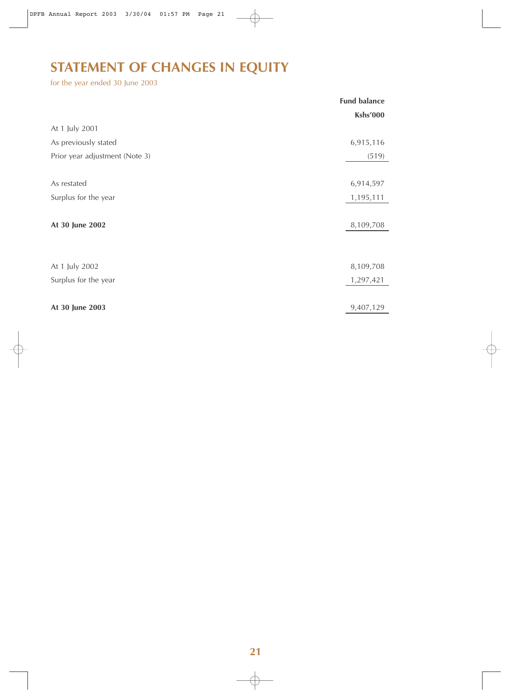# **STATEMENT OF CHANGES IN EQUITY**

for the year ended 30 June 2003

|                                | <b>Fund balance</b> |
|--------------------------------|---------------------|
|                                | Kshs'000            |
| At 1 July 2001                 |                     |
| As previously stated           | 6,915,116           |
| Prior year adjustment (Note 3) | (519)               |
|                                |                     |
| As restated                    | 6,914,597           |
| Surplus for the year           | 1,195,111           |
|                                |                     |
| At 30 June 2002                | 8,109,708           |
|                                |                     |
|                                |                     |
| At 1 July 2002                 | 8,109,708           |
| Surplus for the year           | 1,297,421           |
|                                |                     |
| At 30 June 2003                | 9,407,129           |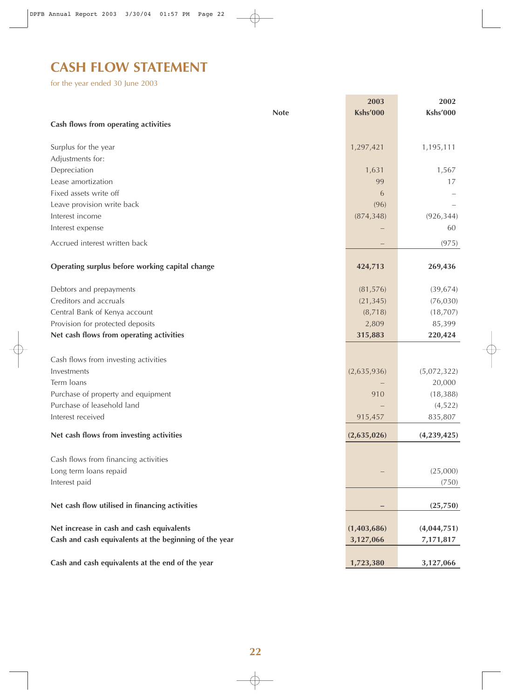# **CASH FLOW STATEMENT**

for the year ended 30 June 2003

|                                                        | 2003            | 2002            |
|--------------------------------------------------------|-----------------|-----------------|
| <b>Note</b>                                            | <b>Kshs'000</b> | <b>Kshs'000</b> |
| Cash flows from operating activities                   |                 |                 |
|                                                        |                 |                 |
| Surplus for the year                                   | 1,297,421       | 1,195,111       |
| Adjustments for:                                       |                 |                 |
| Depreciation                                           | 1,631           | 1,567           |
| Lease amortization                                     | 99              | 17              |
| Fixed assets write off                                 | 6               |                 |
| Leave provision write back                             | (96)            |                 |
| Interest income                                        | (874, 348)      | (926, 344)      |
| Interest expense                                       |                 | 60              |
| Accrued interest written back                          |                 | (975)           |
|                                                        |                 |                 |
| Operating surplus before working capital change        | 424,713         | 269,436         |
|                                                        |                 |                 |
| Debtors and prepayments                                | (81, 576)       | (39, 674)       |
| Creditors and accruals                                 | (21, 345)       | (76, 030)       |
| Central Bank of Kenya account                          | (8,718)         | (18, 707)       |
| Provision for protected deposits                       | 2,809           | 85,399          |
| Net cash flows from operating activities               | 315,883         | 220,424         |
|                                                        |                 |                 |
| Cash flows from investing activities                   |                 |                 |
| Investments                                            | (2,635,936)     | (5,072,322)     |
| Term loans                                             |                 | 20,000          |
| Purchase of property and equipment                     | 910             | (18, 388)       |
| Purchase of leasehold land                             |                 | (4, 522)        |
| Interest received                                      | 915,457         | 835,807         |
| Net cash flows from investing activities               | (2,635,026)     | (4,239,425)     |
|                                                        |                 |                 |
| Cash flows from financing activities                   |                 |                 |
| Long term loans repaid                                 |                 | (25,000)        |
| Interest paid                                          |                 | (750)           |
|                                                        |                 |                 |
| Net cash flow utilised in financing activities         |                 | (25,750)        |
|                                                        |                 |                 |
| Net increase in cash and cash equivalents              | (1,403,686)     | (4,044,751)     |
| Cash and cash equivalents at the beginning of the year | 3,127,066       | 7,171,817       |
|                                                        |                 |                 |
| Cash and cash equivalents at the end of the year       | 1,723,380       | 3,127,066       |

 $\oplus$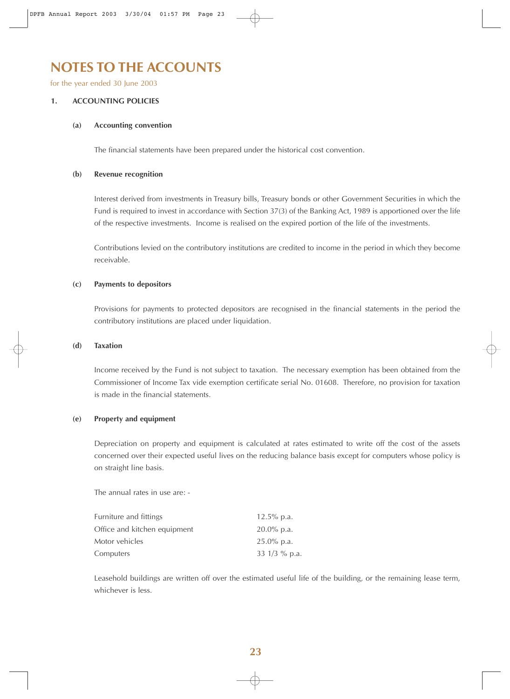### **NOTES TO THE ACCOUNTS**

for the year ended 30 June 2003

#### **1. ACCOUNTING POLICIES**

#### **(a) Accounting convention**

The financial statements have been prepared under the historical cost convention.

#### **(b) Revenue recognition**

Interest derived from investments in Treasury bills, Treasury bonds or other Government Securities in which the Fund is required to invest in accordance with Section 37(3) of the Banking Act, 1989 is apportioned over the life of the respective investments. Income is realised on the expired portion of the life of the investments.

Contributions levied on the contributory institutions are credited to income in the period in which they become receivable.

#### **(c) Payments to depositors**

Provisions for payments to protected depositors are recognised in the financial statements in the period the contributory institutions are placed under liquidation.

#### **(d) Taxation**

Income received by the Fund is not subject to taxation. The necessary exemption has been obtained from the Commissioner of Income Tax vide exemption certificate serial No. 01608. Therefore, no provision for taxation is made in the financial statements.

#### **(e) Property and equipment**

Depreciation on property and equipment is calculated at rates estimated to write off the cost of the assets concerned over their expected useful lives on the reducing balance basis except for computers whose policy is on straight line basis.

The annual rates in use are: -

| Furniture and fittings       | 12.5% p.a.      |
|------------------------------|-----------------|
| Office and kitchen equipment | $20.0\%$ p.a.   |
| Motor vehicles               | $25.0\%$ p.a.   |
| Computers                    | 33 $1/3$ % p.a. |

Leasehold buildings are written off over the estimated useful life of the building, or the remaining lease term, whichever is less.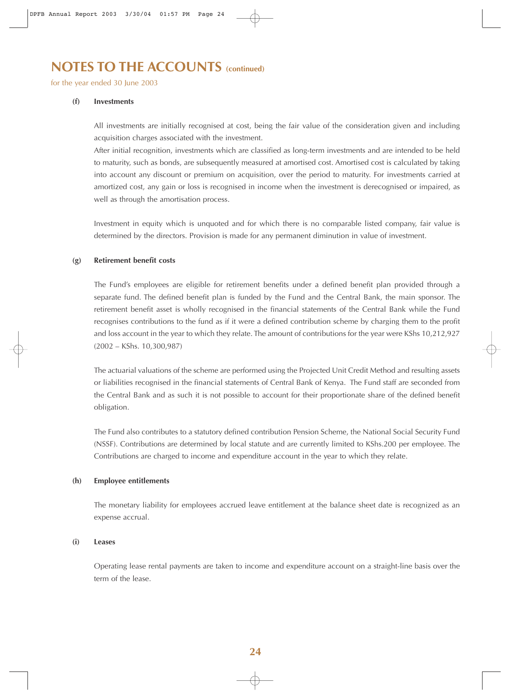### **NOTES TO THE ACCOUNTS (continued)**

for the year ended 30 June 2003

#### **(f) Investments**

All investments are initially recognised at cost, being the fair value of the consideration given and including acquisition charges associated with the investment.

After initial recognition, investments which are classified as long-term investments and are intended to be held to maturity, such as bonds, are subsequently measured at amortised cost. Amortised cost is calculated by taking into account any discount or premium on acquisition, over the period to maturity. For investments carried at amortized cost, any gain or loss is recognised in income when the investment is derecognised or impaired, as well as through the amortisation process.

Investment in equity which is unquoted and for which there is no comparable listed company, fair value is determined by the directors. Provision is made for any permanent diminution in value of investment.

#### **(g) Retirement benefit costs**

The Fund's employees are eligible for retirement benefits under a defined benefit plan provided through a separate fund. The defined benefit plan is funded by the Fund and the Central Bank, the main sponsor. The retirement benefit asset is wholly recognised in the financial statements of the Central Bank while the Fund recognises contributions to the fund as if it were a defined contribution scheme by charging them to the profit and loss account in the year to which they relate. The amount of contributions for the year were KShs 10,212,927 (2002 – KShs. 10,300,987)

The actuarial valuations of the scheme are performed using the Projected Unit Credit Method and resulting assets or liabilities recognised in the financial statements of Central Bank of Kenya. The Fund staff are seconded from the Central Bank and as such it is not possible to account for their proportionate share of the defined benefit obligation.

The Fund also contributes to a statutory defined contribution Pension Scheme, the National Social Security Fund (NSSF). Contributions are determined by local statute and are currently limited to KShs.200 per employee. The Contributions are charged to income and expenditure account in the year to which they relate.

#### **(h) Employee entitlements**

The monetary liability for employees accrued leave entitlement at the balance sheet date is recognized as an expense accrual.

#### **(i) Leases**

Operating lease rental payments are taken to income and expenditure account on a straight-line basis over the term of the lease.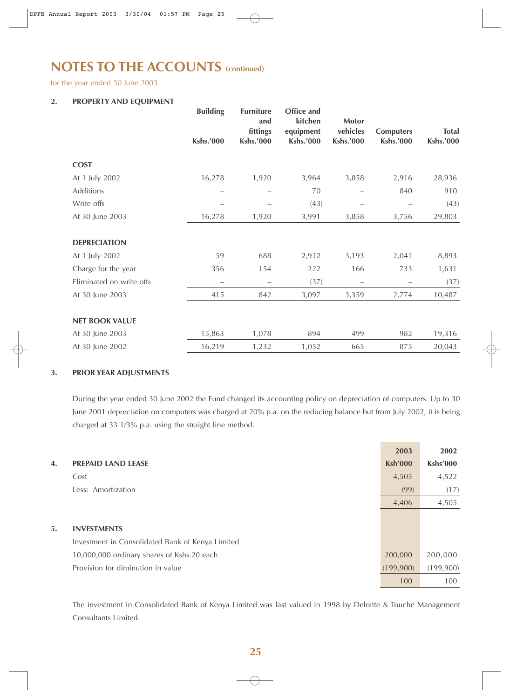## **NOTES TO THE ACCOUNTS (continued)**

for the year ended 30 June 2003

#### **2. PROPERTY AND EQUIPMENT**

|                          | <b>Building</b><br><b>Kshs.'000</b> | <b>Furniture</b><br>and<br>fittings<br><b>Kshs.'000</b> | <b>Office and</b><br>kitchen<br>equipment<br><b>Kshs.'000</b> | Motor<br>vehicles<br><b>Kshs.'000</b> | <b>Computers</b><br><b>Kshs.'000</b> | <b>Total</b><br><b>Kshs.'000</b> |
|--------------------------|-------------------------------------|---------------------------------------------------------|---------------------------------------------------------------|---------------------------------------|--------------------------------------|----------------------------------|
|                          |                                     |                                                         |                                                               |                                       |                                      |                                  |
| <b>COST</b>              |                                     |                                                         |                                                               |                                       |                                      |                                  |
| At 1 July 2002           | 16,278                              | 1,920                                                   | 3,964                                                         | 3,858                                 | 2,916                                | 28,936                           |
| Additions                |                                     |                                                         | 70                                                            |                                       | 840                                  | 910                              |
| Write offs               |                                     |                                                         | (43)                                                          | -                                     |                                      | (43)                             |
| At 30 June 2003          | 16,278                              | 1,920                                                   | 3,991                                                         | 3,858                                 | 3,756                                | 29,803                           |
|                          |                                     |                                                         |                                                               |                                       |                                      |                                  |
| <b>DEPRECIATION</b>      |                                     |                                                         |                                                               |                                       |                                      |                                  |
| At 1 July 2002           | 59                                  | 688                                                     | 2,912                                                         | 3,193                                 | 2,041                                | 8,893                            |
| Charge for the year      | 356                                 | 154                                                     | 222                                                           | 166                                   | 733                                  | 1,631                            |
| Eliminated on write offs |                                     |                                                         | (37)                                                          |                                       |                                      | (37)                             |
| At 30 June 2003          | 415                                 | 842                                                     | 3,097                                                         | 3,359                                 | 2,774                                | 10,487                           |
|                          |                                     |                                                         |                                                               |                                       |                                      |                                  |
| <b>NET BOOK VALUE</b>    |                                     |                                                         |                                                               |                                       |                                      |                                  |
| At 30 June 2003          | 15,863                              | 1,078                                                   | 894                                                           | 499                                   | 982                                  | 19,316                           |
| At 30 June 2002          | 16,219                              | 1,232                                                   | 1,052                                                         | 665                                   | 875                                  | 20,043                           |

#### **3. PRIOR YEAR ADJUSTMENTS**

During the year ended 30 June 2002 the Fund changed its accounting policy on depreciation of computers. Up to 30 June 2001 depreciation on computers was charged at 20% p.a. on the reducing balance but from July 2002, it is being charged at 33 1/3% p.a. using the straight line method.

|    |                                                  | 2003           | 2002            |
|----|--------------------------------------------------|----------------|-----------------|
| 4. | <b>PREPAID LAND LEASE</b>                        | <b>Ksh'000</b> | <b>Kshs'000</b> |
|    | Cost                                             | 4,505          | 4,522           |
|    | Less: Amortization                               | (99)           | (17)            |
|    |                                                  | 4,406          | 4,505           |
|    |                                                  |                |                 |
| 5. | <b>INVESTMENTS</b>                               |                |                 |
|    | Investment in Consolidated Bank of Kenya Limited |                |                 |
|    | 10,000,000 ordinary shares of Kshs.20 each       | 200,000        | 200,000         |
|    | Provision for diminution in value                | (199,900)      | (199,900)       |
|    |                                                  | 100            | 100             |

The investment in Consolidated Bank of Kenya Limited was last valued in 1998 by Deloitte & Touche Management Consultants Limited.

#### **25**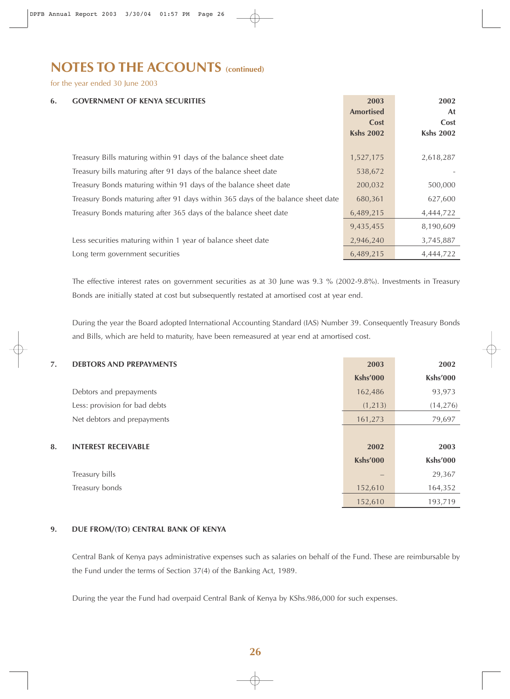## **NOTES TO THE ACCOUNTS (COntinued)**

for the year ended 30 June 2003

| 6. | <b>GOVERNMENT OF KENYA SECURITIES</b>                                           | 2003<br><b>Amortised</b><br>Cost<br><b>Kshs 2002</b> | 2002<br>At<br>Cost<br><b>Kshs 2002</b> |
|----|---------------------------------------------------------------------------------|------------------------------------------------------|----------------------------------------|
|    | Treasury Bills maturing within 91 days of the balance sheet date                | 1,527,175                                            | 2,618,287                              |
|    | Treasury bills maturing after 91 days of the balance sheet date                 | 538,672                                              |                                        |
|    | Treasury Bonds maturing within 91 days of the balance sheet date                | 200,032                                              | 500,000                                |
|    | Treasury Bonds maturing after 91 days within 365 days of the balance sheet date | 680,361                                              | 627,600                                |
|    | Treasury Bonds maturing after 365 days of the balance sheet date                | 6,489,215                                            | 4,444,722                              |
|    |                                                                                 | 9,435,455                                            | 8,190,609                              |
|    | Less securities maturing within 1 year of balance sheet date                    | 2,946,240                                            | 3,745,887                              |
|    | Long term government securities                                                 | 6,489,215                                            | 4,444,722                              |

The effective interest rates on government securities as at 30 June was 9.3 % (2002-9.8%). Investments in Treasury Bonds are initially stated at cost but subsequently restated at amortised cost at year end.

During the year the Board adopted International Accounting Standard (IAS) Number 39. Consequently Treasury Bonds and Bills, which are held to maturity, have been remeasured at year end at amortised cost.

| 7. | <b>DEBTORS AND PREPAYMENTS</b> | 2003            | 2002            |
|----|--------------------------------|-----------------|-----------------|
|    |                                | <b>Kshs'000</b> | <b>Kshs'000</b> |
|    | Debtors and prepayments        | 162,486         | 93,973          |
|    | Less: provision for bad debts  | (1, 213)        | (14, 276)       |
|    | Net debtors and prepayments    | 161,273         | 79,697          |
|    |                                |                 |                 |
| 8. | <b>INTEREST RECEIVABLE</b>     | 2002            | 2003            |
|    |                                | <b>Kshs'000</b> | <b>Kshs'000</b> |
|    | Treasury bills                 |                 | 29,367          |
|    | Treasury bonds                 | 152,610         | 164,352         |
|    |                                | 152,610         | 193,719         |

#### **9. DUE FROM/(TO) CENTRAL BANK OF KENYA**

Central Bank of Kenya pays administrative expenses such as salaries on behalf of the Fund. These are reimbursable by the Fund under the terms of Section 37(4) of the Banking Act, 1989.

During the year the Fund had overpaid Central Bank of Kenya by KShs.986,000 for such expenses.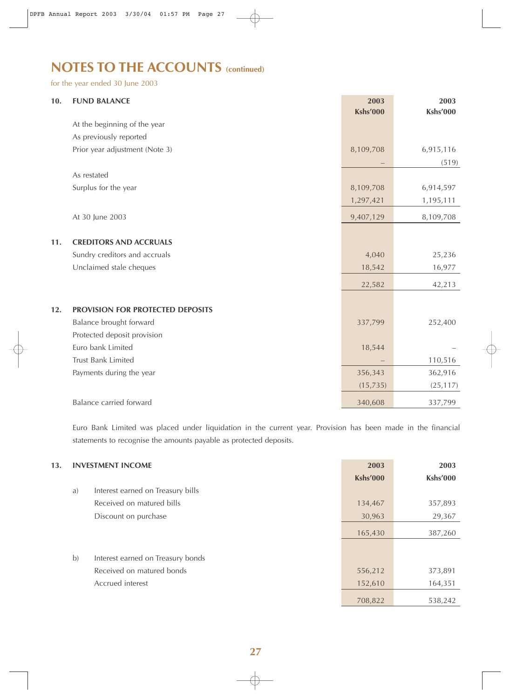# **NOTES TO THE ACCOUNTS (continued)**

for the year ended 30 June 2003

| 10. | <b>FUND BALANCE</b>              | 2003<br><b>Kshs'000</b> | 2003<br><b>Kshs'000</b> |
|-----|----------------------------------|-------------------------|-------------------------|
|     | At the beginning of the year     |                         |                         |
|     | As previously reported           |                         |                         |
|     | Prior year adjustment (Note 3)   | 8,109,708               | 6,915,116               |
|     |                                  |                         | (519)                   |
|     | As restated                      |                         |                         |
|     | Surplus for the year             | 8,109,708               | 6,914,597               |
|     |                                  | 1,297,421               | 1,195,111               |
|     | At 30 June 2003                  | 9,407,129               | 8,109,708               |
|     | <b>CREDITORS AND ACCRUALS</b>    |                         |                         |
| 11. |                                  |                         |                         |
|     | Sundry creditors and accruals    | 4,040                   | 25,236                  |
|     | Unclaimed stale cheques          | 18,542                  | 16,977                  |
|     |                                  | 22,582                  | 42,213                  |
| 12. | PROVISION FOR PROTECTED DEPOSITS |                         |                         |
|     | Balance brought forward          | 337,799                 | 252,400                 |
|     | Protected deposit provision      |                         |                         |
|     | Euro bank Limited                | 18,544                  |                         |
|     | Trust Bank Limited               |                         | 110,516                 |
|     | Payments during the year         | 356,343                 | 362,916                 |
|     |                                  | (15, 735)               | (25, 117)               |
|     | <b>Balance carried forward</b>   | 340,608                 | 337,799                 |

Euro Bank Limited was placed under liquidation in the current year. Provision has been made in the financial statements to recognise the amounts payable as protected deposits.

| 13. | <b>INVESTMENT INCOME</b> |                                   | 2003            | 2003            |
|-----|--------------------------|-----------------------------------|-----------------|-----------------|
|     |                          |                                   | <b>Kshs'000</b> | <b>Kshs'000</b> |
|     | a)                       | Interest earned on Treasury bills |                 |                 |
|     |                          | Received on matured bills         | 134,467         | 357,893         |
|     |                          | Discount on purchase              | 30,963          | 29,367          |
|     |                          |                                   | 165,430         | 387,260         |
|     |                          |                                   |                 |                 |
|     | b)                       | Interest earned on Treasury bonds |                 |                 |
|     |                          | Received on matured bonds         | 556,212         | 373,891         |
|     |                          | Accrued interest                  | 152,610         | 164,351         |
|     |                          |                                   | 708,822         | 538,242         |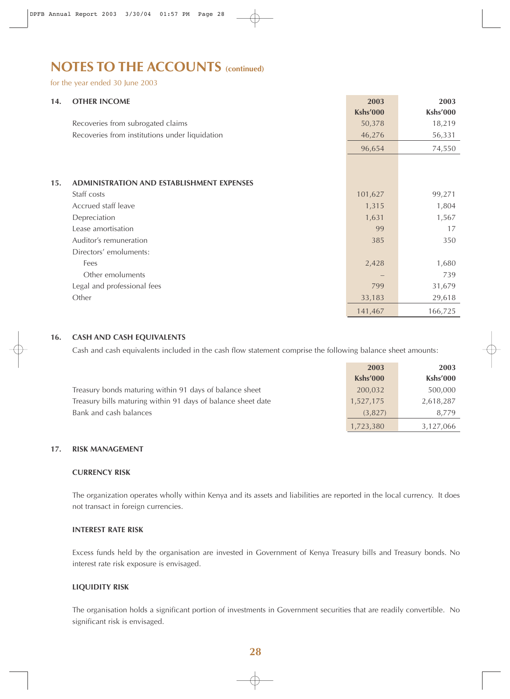## **NOTES TO THE ACCOUNTS (COntinued)**

for the year ended 30 June 2003

| 14. | <b>OTHER INCOME</b>                              | 2003            | 2003     |
|-----|--------------------------------------------------|-----------------|----------|
|     |                                                  | <b>Kshs'000</b> | Kshs'000 |
|     | Recoveries from subrogated claims                | 50,378          | 18,219   |
|     | Recoveries from institutions under liquidation   | 46,276          | 56,331   |
|     |                                                  | 96,654          | 74,550   |
|     |                                                  |                 |          |
| 15. | <b>ADMINISTRATION AND ESTABLISHMENT EXPENSES</b> |                 |          |
|     | Staff costs                                      | 101,627         | 99,271   |
|     | Accrued staff leave                              | 1,315           | 1,804    |
|     | Depreciation                                     | 1,631           | 1,567    |
|     | Lease amortisation                               | 99              | 17       |
|     | Auditor's remuneration                           | 385             | 350      |
|     | Directors' emoluments:                           |                 |          |
|     | Fees                                             | 2,428           | 1,680    |
|     | Other emoluments                                 |                 | 739      |
|     | Legal and professional fees                      | 799             | 31,679   |
|     | Other                                            | 33,183          | 29,618   |
|     |                                                  | 141,467         | 166,725  |

#### **16. CASH AND CASH EQUIVALENTS**

Cash and cash equivalents included in the cash flow statement comprise the following balance sheet amounts:

|                                                              | 2003      | 2003      |
|--------------------------------------------------------------|-----------|-----------|
|                                                              | Kshs'000  | Kshs'000  |
| Treasury bonds maturing within 91 days of balance sheet      | 200,032   | 500,000   |
| Treasury bills maturing within 91 days of balance sheet date | 1,527,175 | 2,618,287 |
| Bank and cash balances                                       | (3,827)   | 8.779     |
|                                                              | 1,723,380 | 3,127,066 |

#### **17. RISK MANAGEMENT**

#### **CURRENCY RISK**

The organization operates wholly within Kenya and its assets and liabilities are reported in the local currency. It does not transact in foreign currencies.

#### **INTEREST RATE RISK**

Excess funds held by the organisation are invested in Government of Kenya Treasury bills and Treasury bonds. No interest rate risk exposure is envisaged.

#### **LIQUIDITY RISK**

The organisation holds a significant portion of investments in Government securities that are readily convertible. No significant risk is envisaged.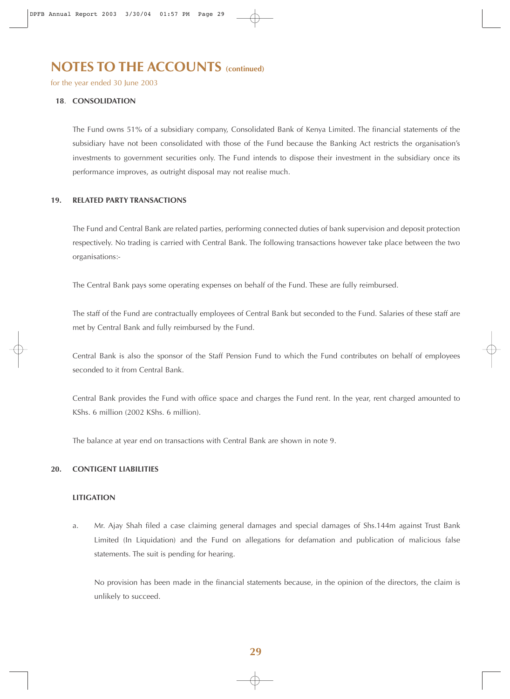### **NOTES TO THE ACCOUNTS (CONTInued)**

for the year ended 30 June 2003

#### **18**. **CONSOLIDATION**

The Fund owns 51% of a subsidiary company, Consolidated Bank of Kenya Limited. The financial statements of the subsidiary have not been consolidated with those of the Fund because the Banking Act restricts the organisation's investments to government securities only. The Fund intends to dispose their investment in the subsidiary once its performance improves, as outright disposal may not realise much.

#### **19. RELATED PARTY TRANSACTIONS**

The Fund and Central Bank are related parties, performing connected duties of bank supervision and deposit protection respectively. No trading is carried with Central Bank. The following transactions however take place between the two organisations:-

The Central Bank pays some operating expenses on behalf of the Fund. These are fully reimbursed.

The staff of the Fund are contractually employees of Central Bank but seconded to the Fund. Salaries of these staff are met by Central Bank and fully reimbursed by the Fund.

Central Bank is also the sponsor of the Staff Pension Fund to which the Fund contributes on behalf of employees seconded to it from Central Bank.

Central Bank provides the Fund with office space and charges the Fund rent. In the year, rent charged amounted to KShs. 6 million (2002 KShs. 6 million).

The balance at year end on transactions with Central Bank are shown in note 9.

#### **20. CONTIGENT LIABILITIES**

#### **LITIGATION**

a. Mr. Ajay Shah filed a case claiming general damages and special damages of Shs.144m against Trust Bank Limited (In Liquidation) and the Fund on allegations for defamation and publication of malicious false statements. The suit is pending for hearing.

No provision has been made in the financial statements because, in the opinion of the directors, the claim is unlikely to succeed.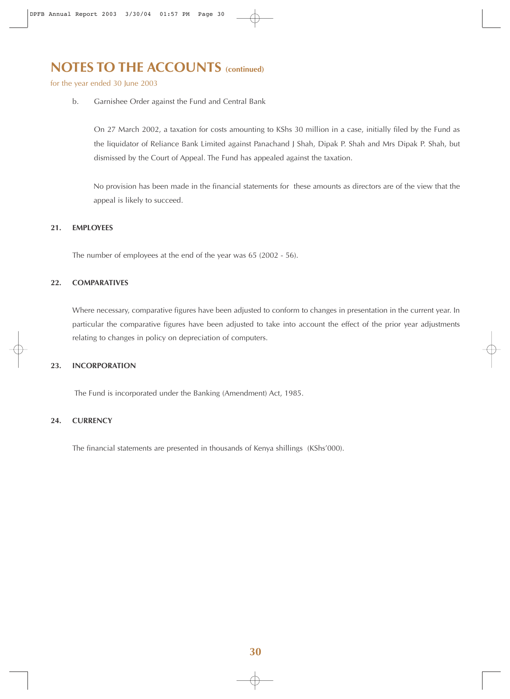## **NOTES TO THE ACCOUNTS (CONTING)**

for the year ended 30 June 2003

b. Garnishee Order against the Fund and Central Bank

On 27 March 2002, a taxation for costs amounting to KShs 30 million in a case, initially filed by the Fund as the liquidator of Reliance Bank Limited against Panachand J Shah, Dipak P. Shah and Mrs Dipak P. Shah, but dismissed by the Court of Appeal. The Fund has appealed against the taxation.

No provision has been made in the financial statements for these amounts as directors are of the view that the appeal is likely to succeed.

#### **21. EMPLOYEES**

The number of employees at the end of the year was 65 (2002 - 56).

#### **22. COMPARATIVES**

Where necessary, comparative figures have been adjusted to conform to changes in presentation in the current year. In particular the comparative figures have been adjusted to take into account the effect of the prior year adjustments relating to changes in policy on depreciation of computers.

#### **23. INCORPORATION**

The Fund is incorporated under the Banking (Amendment) Act, 1985.

#### **24. CURRENCY**

The financial statements are presented in thousands of Kenya shillings (KShs'000).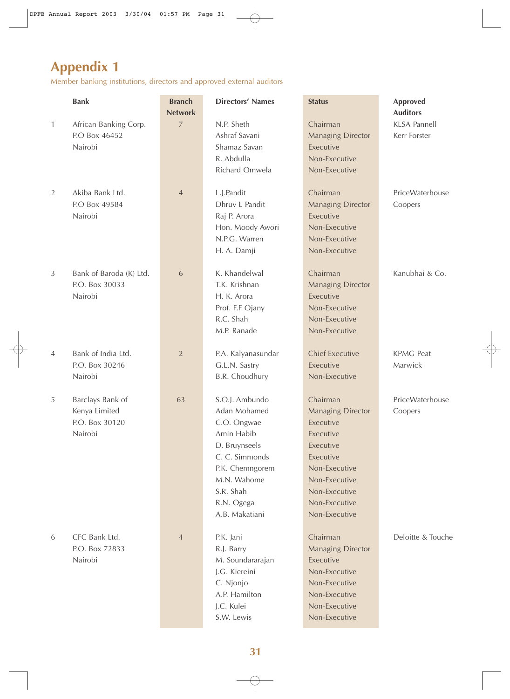# **Appendix 1**

Member banking institutions, directors and approved external auditors

|                | <b>Bank</b>                                                    | <b>Branch</b><br><b>Network</b> | <b>Directors' Names</b>                                                                                                                                                       | <b>Status</b>                                                                                                                                                                 | <b>Approved</b><br><b>Auditors</b>  |
|----------------|----------------------------------------------------------------|---------------------------------|-------------------------------------------------------------------------------------------------------------------------------------------------------------------------------|-------------------------------------------------------------------------------------------------------------------------------------------------------------------------------|-------------------------------------|
| $\mathbf{1}$   | African Banking Corp.<br>P.O Box 46452<br>Nairobi              | $\overline{7}$                  | N.P. Sheth<br>Ashraf Savani<br>Shamaz Savan<br>R. Abdulla<br>Richard Omwela                                                                                                   | Chairman<br><b>Managing Director</b><br>Executive<br>Non-Executive<br>Non-Executive                                                                                           | <b>KLSA Pannell</b><br>Kerr Forster |
| $\overline{2}$ | Akiba Bank Ltd.<br>P.O Box 49584<br>Nairobi                    | $\overline{4}$                  | L.J.Pandit<br>Dhruv L Pandit<br>Raj P. Arora<br>Hon. Moody Awori<br>N.P.G. Warren<br>H. A. Damji                                                                              | Chairman<br><b>Managing Director</b><br>Executive<br>Non-Executive<br>Non-Executive<br>Non-Executive                                                                          | PriceWaterhouse<br>Coopers          |
| $\mathfrak{Z}$ | Bank of Baroda (K) Ltd.<br>P.O. Box 30033<br>Nairobi           | $\sqrt{6}$                      | K. Khandelwal<br>T.K. Krishnan<br>H. K. Arora<br>Prof. F.F Ojany<br>R.C. Shah<br>M.P. Ranade                                                                                  | Chairman<br><b>Managing Director</b><br>Executive<br>Non-Executive<br>Non-Executive<br>Non-Executive                                                                          | Kanubhai & Co.                      |
| $\overline{4}$ | Bank of India Ltd.<br>P.O. Box 30246<br>Nairobi                | $\overline{2}$                  | P.A. Kalyanasundar<br>G.L.N. Sastry<br>B.R. Choudhury                                                                                                                         | <b>Chief Executive</b><br>Executive<br>Non-Executive                                                                                                                          | <b>KPMG Peat</b><br>Marwick         |
| 5              | Barclays Bank of<br>Kenya Limited<br>P.O. Box 30120<br>Nairobi | 63                              | S.O.J. Ambundo<br>Adan Mohamed<br>C.O. Ongwae<br>Amin Habib<br>D. Bruynseels<br>C. C. Simmonds<br>P.K. Chemngorem<br>M.N. Wahome<br>S.R. Shah<br>R.N. Ogega<br>A.B. Makatiani | Chairman<br><b>Managing Director</b><br>Executive<br>Executive<br>Executive<br>Executive<br>Non-Executive<br>Non-Executive<br>Non-Executive<br>Non-Executive<br>Non-Executive | PriceWaterhouse<br>Coopers          |
| 6              | CFC Bank Ltd.<br>P.O. Box 72833<br>Nairobi                     | $\overline{4}$                  | P.K. Jani<br>R.J. Barry<br>M. Soundararajan<br>J.G. Kiereini<br>C. Njonjo<br>A.P. Hamilton<br>J.C. Kulei<br>S.W. Lewis                                                        | Chairman<br><b>Managing Director</b><br>Executive<br>Non-Executive<br>Non-Executive<br>Non-Executive<br>Non-Executive<br>Non-Executive                                        | Deloitte & Touche                   |

 $\bigoplus$ 

 $\overline{\bigoplus}$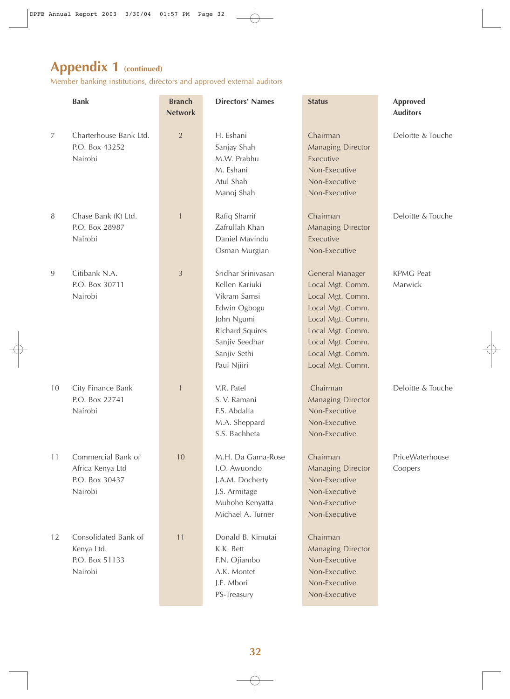Member banking institutions, directors and approved external auditors

|        | <b>Bank</b>                                                         | <b>Branch</b><br><b>Network</b> | <b>Directors' Names</b>                                                                                                                                       | <b>Status</b>                                                                                                                                                                   | <b>Approved</b><br><b>Auditors</b> |
|--------|---------------------------------------------------------------------|---------------------------------|---------------------------------------------------------------------------------------------------------------------------------------------------------------|---------------------------------------------------------------------------------------------------------------------------------------------------------------------------------|------------------------------------|
| 7      | Charterhouse Bank Ltd.<br>P.O. Box 43252<br>Nairobi                 | $\overline{2}$                  | H. Eshani<br>Sanjay Shah<br>M.W. Prabhu<br>M. Eshani<br>Atul Shah<br>Manoj Shah                                                                               | Chairman<br><b>Managing Director</b><br>Executive<br>Non-Executive<br>Non-Executive<br>Non-Executive                                                                            | Deloitte & Touche                  |
| $\, 8$ | Chase Bank (K) Ltd.<br>P.O. Box 28987<br>Nairobi                    | $\mathbf{1}$                    | Rafiq Sharrif<br>Zafrullah Khan<br>Daniel Mavindu<br>Osman Murgian                                                                                            | Chairman<br><b>Managing Director</b><br>Executive<br>Non-Executive                                                                                                              | Deloitte & Touche                  |
| 9      | Citibank N.A.<br>P.O. Box 30711<br>Nairobi                          | $\mathfrak{Z}$                  | Sridhar Srinivasan<br>Kellen Kariuki<br>Vikram Samsi<br>Edwin Ogbogu<br>John Ngumi<br><b>Richard Squires</b><br>Sanjiv Seedhar<br>Sanjiv Sethi<br>Paul Njiiri | General Manager<br>Local Mgt. Comm.<br>Local Mgt. Comm.<br>Local Mgt. Comm.<br>Local Mgt. Comm.<br>Local Mgt. Comm.<br>Local Mgt. Comm.<br>Local Mgt. Comm.<br>Local Mgt. Comm. | <b>KPMG</b> Peat<br>Marwick        |
| 10     | City Finance Bank<br>P.O. Box 22741<br>Nairobi                      | $\mathbf{1}$                    | V.R. Patel<br>S. V. Ramani<br>F.S. Abdalla<br>M.A. Sheppard<br>S.S. Bachheta                                                                                  | Chairman<br><b>Managing Director</b><br>Non-Executive<br>Non-Executive<br>Non-Executive                                                                                         | Deloitte & Touche                  |
| 11     | Commercial Bank of<br>Africa Kenya Ltd<br>P.O. Box 30437<br>Nairobi | 10                              | M.H. Da Gama-Rose<br>I.O. Awuondo<br>J.A.M. Docherty<br>J.S. Armitage<br>Muhoho Kenyatta<br>Michael A. Turner                                                 | Chairman<br><b>Managing Director</b><br>Non-Executive<br>Non-Executive<br>Non-Executive<br>Non-Executive                                                                        | PriceWaterhouse<br>Coopers         |
| 12     | Consolidated Bank of<br>Kenya Ltd.<br>P.O. Box 51133<br>Nairobi     | 11                              | Donald B. Kimutai<br>K.K. Bett<br>F.N. Ojiambo<br>A.K. Montet<br>J.E. Mbori<br>PS-Treasury                                                                    | Chairman<br><b>Managing Director</b><br>Non-Executive<br>Non-Executive<br>Non-Executive<br>Non-Executive                                                                        |                                    |

 $\bigoplus$ 

 $\overline{\bigoplus}$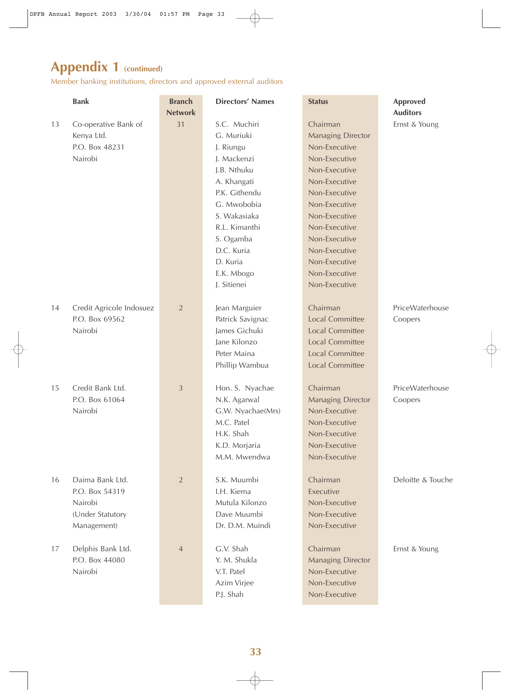Member banking institutions, directors and approved external auditors

|    | <b>Bank</b>                                                                     | <b>Branch</b><br><b>Network</b> | <b>Directors' Names</b>                                                                                                                                                                                                   | <b>Status</b>                                                                                                                                                                                                                                                     | <b>Approved</b><br><b>Auditors</b> |
|----|---------------------------------------------------------------------------------|---------------------------------|---------------------------------------------------------------------------------------------------------------------------------------------------------------------------------------------------------------------------|-------------------------------------------------------------------------------------------------------------------------------------------------------------------------------------------------------------------------------------------------------------------|------------------------------------|
| 13 | Co-operative Bank of<br>Kenya Ltd.<br>P.O. Box 48231<br>Nairobi                 | 31                              | S.C. Muchiri<br>G. Muriuki<br>J. Riungu<br>J. Mackenzi<br>J.B. Nthuku<br>A. Khangati<br>P.K. Githendu<br>G. Mwobobia<br>S. Wakasiaka<br>R.L. Kimanthi<br>S. Ogamba<br>D.C. Kuria<br>D. Kuria<br>E.K. Mbogo<br>J. Sitienei | Chairman<br><b>Managing Director</b><br>Non-Executive<br>Non-Executive<br>Non-Executive<br>Non-Executive<br>Non-Executive<br>Non-Executive<br>Non-Executive<br>Non-Executive<br>Non-Executive<br>Non-Executive<br>Non-Executive<br>Non-Executive<br>Non-Executive | Ernst & Young                      |
| 14 | Credit Agricole Indosuez<br>P.O. Box 69562<br>Nairobi                           | $\sqrt{2}$                      | Jean Marguier<br>Patrick Savignac<br>James Gichuki<br>Jane Kilonzo<br>Peter Maina<br>Phillip Wambua                                                                                                                       | Chairman<br><b>Local Committee</b><br><b>Local Committee</b><br><b>Local Committee</b><br><b>Local Committee</b><br><b>Local Committee</b>                                                                                                                        | PriceWaterhouse<br>Coopers         |
| 15 | Credit Bank Ltd.<br>P.O. Box 61064<br>Nairobi                                   | $\mathfrak{Z}$                  | Hon. S. Nyachae<br>N.K. Agarwal<br>G.W. Nyachae(Mrs)<br>M.C. Patel<br>H.K. Shah<br>K.D. Morjaria<br>M.M. Mwendwa                                                                                                          | Chairman<br><b>Managing Director</b><br>Non-Executive<br>Non-Executive<br>Non-Executive<br>Non-Executive<br>Non-Executive                                                                                                                                         | PriceWaterhouse<br>Coopers         |
| 16 | Daima Bank Ltd.<br>P.O. Box 54319<br>Nairobi<br>(Under Statutory<br>Management) | $\overline{2}$                  | S.K. Muumbi<br>I.H. Kiema<br>Mutula Kilonzo<br>Dave Muumbi<br>Dr. D.M. Muindi                                                                                                                                             | Chairman<br>Executive<br>Non-Executive<br>Non-Executive<br>Non-Executive                                                                                                                                                                                          | Deloitte & Touche                  |
| 17 | Delphis Bank Ltd.<br>P.O. Box 44080<br>Nairobi                                  | $\overline{4}$                  | G.V. Shah<br>Y. M. Shukla<br>V.T. Patel<br>Azim Virjee<br>P.J. Shah                                                                                                                                                       | Chairman<br><b>Managing Director</b><br>Non-Executive<br>Non-Executive<br>Non-Executive                                                                                                                                                                           | Ernst & Young                      |

 $\oplus$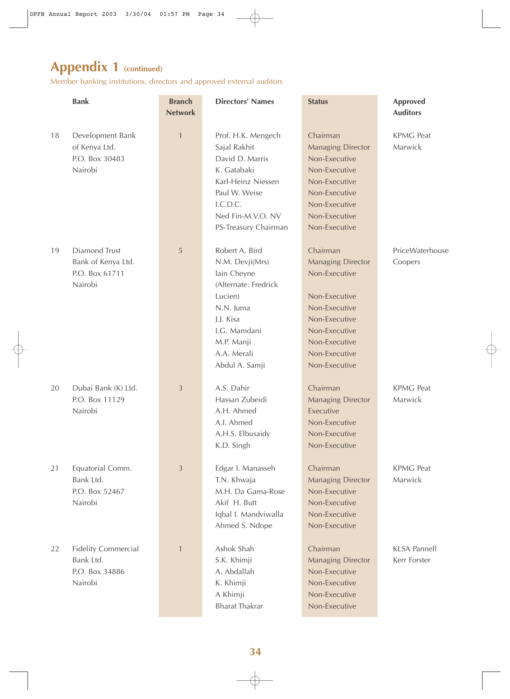Member banking institutions, directors and approved external auditors

|    | <b>Bank</b>                                                          | <b>Branch</b><br><b>Network</b> | <b>Directors' Names</b>                                                                                                                                                      | <b>Status</b>                                                                                                                                                                | <b>Approved</b><br><b>Auditors</b>  |
|----|----------------------------------------------------------------------|---------------------------------|------------------------------------------------------------------------------------------------------------------------------------------------------------------------------|------------------------------------------------------------------------------------------------------------------------------------------------------------------------------|-------------------------------------|
| 18 | Development Bank<br>of Kenya Ltd.<br>P.O. Box 30483<br>Nairobi       | $\mathbf{1}$                    | Prof. H.K. Mengech<br>Sajal Rakhit<br>David D. Marris<br>K. Gatabaki<br>Karl-Heinz Niessen<br>Paul W. Weise<br>I.C.D.C.<br>Ned Fin-M.V.O. NV<br>PS-Treasury Chairman         | Chairman<br><b>Managing Director</b><br>Non-Executive<br>Non-Executive<br>Non-Executive<br>Non-Executive<br>Non-Executive<br>Non-Executive<br>Non-Executive                  | <b>KPMG Peat</b><br>Marwick         |
| 19 | Diamond Trust<br>Bank of Kenya Ltd.<br>P.O. Box 61711<br>Nairobi     | 5                               | Robert A. Bird<br>N.M. Devji(Mrs)<br>lain Cheyne<br>(Alternate: Fredrick<br>Lucien)<br>N.N. Juma<br>J.J. Kisa<br>I.G. Mamdani<br>M.P. Manji<br>A.A. Merali<br>Abdul A. Samji | Chairman<br><b>Managing Director</b><br>Non-Executive<br>Non-Executive<br>Non-Executive<br>Non-Executive<br>Non-Executive<br>Non-Executive<br>Non-Executive<br>Non-Executive | PriceWaterhouse<br>Coopers          |
| 20 | Dubai Bank (K) Ltd.<br>P.O. Box 11129<br>Nairobi                     | 3                               | A.S. Dahir<br>Hassan Zubeidi<br>A.H. Ahmed<br>A.I. Ahmed<br>A.H.S. Elbusaidy<br>K.D. Singh                                                                                   | Chairman<br><b>Managing Director</b><br>Executive<br>Non-Executive<br>Non-Executive<br>Non-Executive                                                                         | <b>KPMG Peat</b><br>Marwick         |
| 21 | Equatorial Comm.<br>Bank Ltd.<br>P.O. Box 52467<br>Nairobi           | 3                               | Edgar I. Manasseh<br>T.N. Khwaja<br>M.H. Da Gama-Rose<br>Akif H. Butt<br>Iqbal I. Mandviwalla<br>Ahmed S. Ndope                                                              | Chairman<br><b>Managing Director</b><br>Non-Executive<br>Non-Executive<br>Non-Executive<br>Non-Executive                                                                     | <b>KPMG Peat</b><br>Marwick         |
| 22 | <b>Fidelity Commercial</b><br>Bank Ltd.<br>P.O. Box 34886<br>Nairobi | $\mathbf{1}$                    | Ashok Shah<br>S.K. Khimji<br>A. Abdallah<br>K. Khimji<br>A Khimji<br><b>Bharat Thakrar</b>                                                                                   | Chairman<br><b>Managing Director</b><br>Non-Executive<br>Non-Executive<br>Non-Executive<br>Non-Executive                                                                     | <b>KLSA Pannell</b><br>Kerr Forster |

 $\oplus$ 

 $\overline{\varphi}$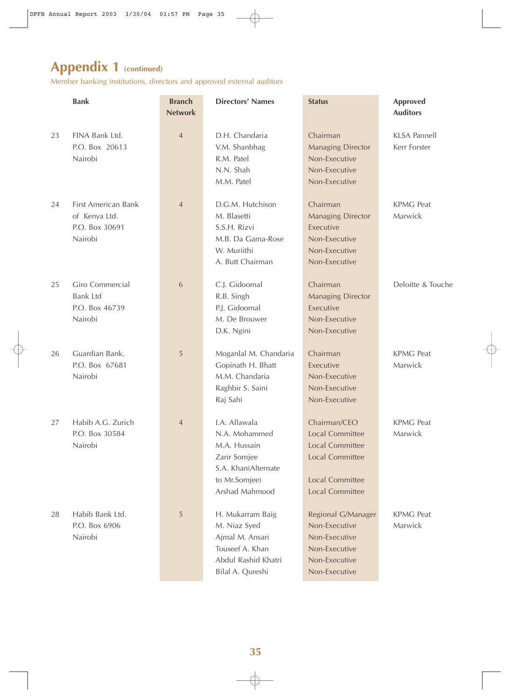Member banking institutions, directors and approved external auditors

|    | <b>Bank</b>                                                       | <b>Branch</b><br><b>Network</b> | <b>Directors' Names</b>                                                                                                  | <b>Status</b>                                                                                                                           | <b>Approved</b><br><b>Auditors</b>  |
|----|-------------------------------------------------------------------|---------------------------------|--------------------------------------------------------------------------------------------------------------------------|-----------------------------------------------------------------------------------------------------------------------------------------|-------------------------------------|
| 23 | FINA Bank Ltd.<br>P.O. Box 20613<br>Nairobi                       | $\overline{4}$                  | D.H. Chandaria<br>V.M. Shanbhag<br>R.M. Patel<br>N.N. Shah<br>M.M. Patel                                                 | Chairman<br><b>Managing Director</b><br>Non-Executive<br>Non-Executive<br>Non-Executive                                                 | <b>KLSA Pannell</b><br>Kerr Forster |
| 24 | First American Bank<br>of Kenya Ltd.<br>P.O. Box 30691<br>Nairobi | $\overline{4}$                  | D.G.M. Hutchison<br>M. Blasetti<br>S.S.H. Rizvi<br>M.B. Da Gama-Rose<br>W. Muriithi<br>A. Butt Chairman                  | Chairman<br><b>Managing Director</b><br>Executive<br>Non-Executive<br>Non-Executive<br>Non-Executive                                    | <b>KPMG Peat</b><br>Marwick         |
| 25 | Giro Commercial<br><b>Bank Ltd</b><br>P.O. Box 46739<br>Nairobi   | 6                               | C.J. Gidoomal<br>R.B. Singh<br>P.J. Gidoomal<br>M. De Brouwer<br>D.K. Ngini                                              | Chairman<br><b>Managing Director</b><br>Executive<br>Non-Executive<br>Non-Executive                                                     | Deloitte & Touche                   |
| 26 | Guardian Bank.<br>P.O. Box 67681<br>Nairobi                       | 5                               | Moganlal M. Chandaria<br>Gopinath H. Bhatt<br>M.M. Chandaria<br>Raghbir S. Saini<br>Raj Sahi                             | Chairman<br>Executive<br>Non-Executive<br>Non-Executive<br>Non-Executive                                                                | <b>KPMG Peat</b><br>Marwick         |
| 27 | Habib A.G. Zurich<br>P.O. Box 30584<br>Nairobi                    | $\overline{4}$                  | I.A. Allawala<br>N.A. Mohammed<br>M.A. Hussain<br>Zarir Somjee<br>S.A. Khan(Alternate<br>to Mr.Somjee)<br>Arshad Mahmood | Chairman/CEO<br>Local Committee<br><b>Local Committee</b><br><b>Local Committee</b><br><b>Local Committee</b><br><b>Local Committee</b> | <b>KPMG Peat</b><br>Marwick         |
| 28 | Habib Bank Ltd.<br>P.O. Box 6906<br>Nairobi                       | 5                               | H. Mukarram Baig<br>M. Niaz Syed<br>Ajmal M. Ansari<br>Touseef A. Khan<br>Abdul Rashid Khatri<br>Bilal A. Qureshi        | Regional G/Manager<br>Non-Executive<br>Non-Executive<br>Non-Executive<br>Non-Executive<br>Non-Executive                                 | <b>KPMG Peat</b><br>Marwick         |

 $\oplus$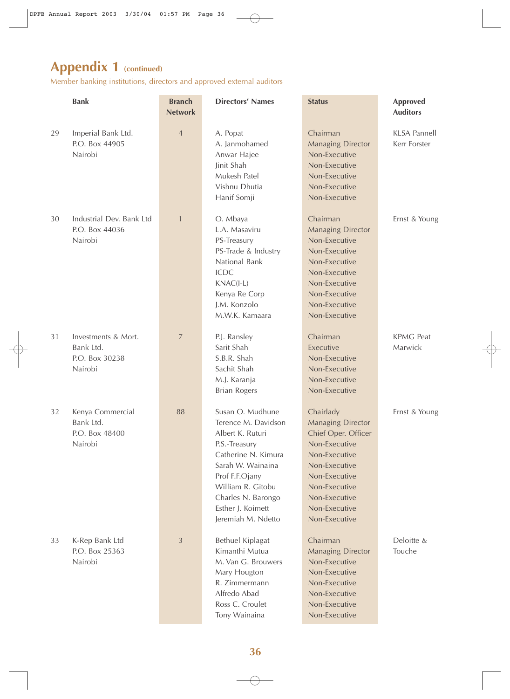Member banking institutions, directors and approved external auditors

|    | <b>Bank</b>                                                   | <b>Branch</b><br><b>Network</b> | <b>Directors' Names</b>                                                                                                                                                                                                          | <b>Status</b>                                                                                                                                                                                        | <b>Approved</b><br><b>Auditors</b>  |
|----|---------------------------------------------------------------|---------------------------------|----------------------------------------------------------------------------------------------------------------------------------------------------------------------------------------------------------------------------------|------------------------------------------------------------------------------------------------------------------------------------------------------------------------------------------------------|-------------------------------------|
| 29 | Imperial Bank Ltd.<br>P.O. Box 44905<br>Nairobi               | $\overline{4}$                  | A. Popat<br>A. Janmohamed<br>Anwar Hajee<br>Jinit Shah<br>Mukesh Patel<br>Vishnu Dhutia<br>Hanif Somji                                                                                                                           | Chairman<br><b>Managing Director</b><br>Non-Executive<br>Non-Executive<br>Non-Executive<br>Non-Executive<br>Non-Executive                                                                            | <b>KLSA Pannell</b><br>Kerr Forster |
| 30 | Industrial Dev. Bank Ltd<br>P.O. Box 44036<br>Nairobi         | $\mathbf{1}$                    | O. Mbaya<br>L.A. Masaviru<br>PS-Treasury<br>PS-Trade & Industry<br>National Bank<br><b>ICDC</b><br>$KNAC(I-L)$<br>Kenya Re Corp<br>J.M. Konzolo<br>M.W.K. Kamaara                                                                | Chairman<br><b>Managing Director</b><br>Non-Executive<br>Non-Executive<br>Non-Executive<br>Non-Executive<br>Non-Executive<br>Non-Executive<br>Non-Executive<br>Non-Executive                         | Ernst & Young                       |
| 31 | Investments & Mort.<br>Bank Ltd.<br>P.O. Box 30238<br>Nairobi | $\overline{7}$                  | P.J. Ransley<br>Sarit Shah<br>S.B.R. Shah<br>Sachit Shah<br>M.J. Karanja<br><b>Brian Rogers</b>                                                                                                                                  | Chairman<br>Executive<br>Non-Executive<br>Non-Executive<br>Non-Executive<br>Non-Executive                                                                                                            | <b>KPMG Peat</b><br>Marwick         |
| 32 | Kenya Commercial<br>Bank Ltd.<br>P.O. Box 48400<br>Nairobi    | 88                              | Susan O. Mudhune<br>Terence M. Davidson<br>Albert K. Ruturi<br>P.S.-Treasury<br>Catherine N. Kimura<br>Sarah W. Wainaina<br>Prof F.F.Ojany<br>William R. Gitobu<br>Charles N. Barongo<br>Esther J. Koimett<br>Jeremiah M. Ndetto | Chairlady<br><b>Managing Director</b><br>Chief Oper. Officer<br>Non-Executive<br>Non-Executive<br>Non-Executive<br>Non-Executive<br>Non-Executive<br>Non-Executive<br>Non-Executive<br>Non-Executive | Ernst & Young                       |
| 33 | K-Rep Bank Ltd<br>P.O. Box 25363<br>Nairobi                   | $\mathfrak{Z}$                  | Bethuel Kiplagat<br>Kimanthi Mutua<br>M. Van G. Brouwers<br>Mary Hougton<br>R. Zimmermann<br>Alfredo Abad<br>Ross C. Croulet<br>Tony Wainaina                                                                                    | Chairman<br><b>Managing Director</b><br>Non-Executive<br>Non-Executive<br>Non-Executive<br>Non-Executive<br>Non-Executive<br>Non-Executive                                                           | Deloitte &<br>Touche                |

 $\oplus$ 

 $\overline{\oplus}$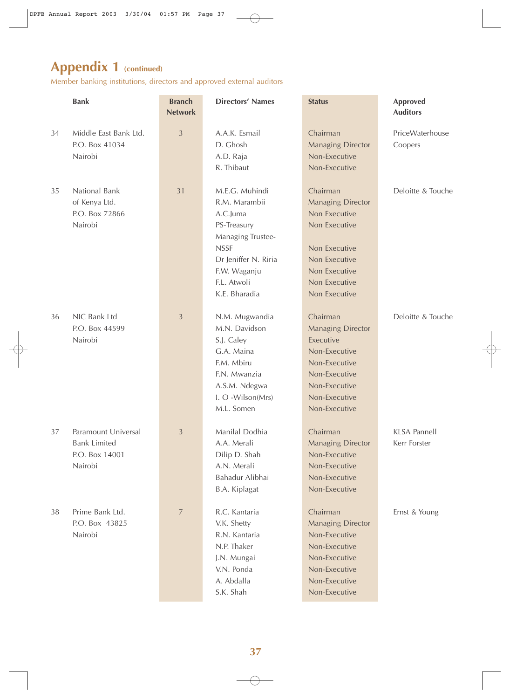Member banking institutions, directors and approved external auditors

|    | <b>Bank</b>                                                             | <b>Branch</b><br><b>Network</b> | <b>Directors' Names</b>                                                                                                                                                | <b>Status</b>                                                                                                                                               | <b>Approved</b><br><b>Auditors</b>  |
|----|-------------------------------------------------------------------------|---------------------------------|------------------------------------------------------------------------------------------------------------------------------------------------------------------------|-------------------------------------------------------------------------------------------------------------------------------------------------------------|-------------------------------------|
| 34 | Middle East Bank Ltd.<br>P.O. Box 41034<br>Nairobi                      | $\mathfrak{Z}$                  | A.A.K. Esmail<br>D. Ghosh<br>A.D. Raja<br>R. Thibaut                                                                                                                   | Chairman<br><b>Managing Director</b><br>Non-Executive<br>Non-Executive                                                                                      | PriceWaterhouse<br>Coopers          |
| 35 | National Bank<br>of Kenya Ltd.<br>P.O. Box 72866<br>Nairobi             | 31                              | M.E.G. Muhindi<br>R.M. Marambii<br>A.C.Juma<br>PS-Treasury<br>Managing Trustee-<br><b>NSSF</b><br>Dr Jeniffer N. Riria<br>F.W. Waganju<br>F.L. Atwoli<br>K.E. Bharadia | Chairman<br><b>Managing Director</b><br>Non Executive<br>Non Executive<br>Non Executive<br>Non Executive<br>Non Executive<br>Non Executive<br>Non Executive | Deloitte & Touche                   |
| 36 | NIC Bank Ltd<br>P.O. Box 44599<br>Nairobi                               | $\mathfrak{Z}$                  | N.M. Mugwandia<br>M.N. Davidson<br>S.J. Caley<br>G.A. Maina<br>F.M. Mbiru<br>F.N. Mwanzia<br>A.S.M. Ndegwa<br>I. O -Wilson(Mrs)<br>M.L. Somen                          | Chairman<br><b>Managing Director</b><br>Executive<br>Non-Executive<br>Non-Executive<br>Non-Executive<br>Non-Executive<br>Non-Executive<br>Non-Executive     | Deloitte & Touche                   |
| 37 | Paramount Universal<br><b>Bank Limited</b><br>P.O. Box 14001<br>Nairobi | $\mathfrak{Z}$                  | Manilal Dodhia<br>A.A. Merali<br>Dilip D. Shah<br>A.N. Merali<br>Bahadur Alibhai<br>B.A. Kiplagat                                                                      | Chairman<br><b>Managing Director</b><br>Non-Executive<br>Non-Executive<br>Non-Executive<br>Non-Executive                                                    | <b>KLSA Pannell</b><br>Kerr Forster |
| 38 | Prime Bank Ltd.<br>P.O. Box 43825<br>Nairobi                            | $\overline{7}$                  | R.C. Kantaria<br>V.K. Shetty<br>R.N. Kantaria<br>N.P. Thaker<br>J.N. Mungai<br>V.N. Ponda<br>A. Abdalla<br>S.K. Shah                                                   | Chairman<br><b>Managing Director</b><br>Non-Executive<br>Non-Executive<br>Non-Executive<br>Non-Executive<br>Non-Executive<br>Non-Executive                  | Ernst & Young                       |

 $\bigoplus$ 

 $\overline{\bigoplus}$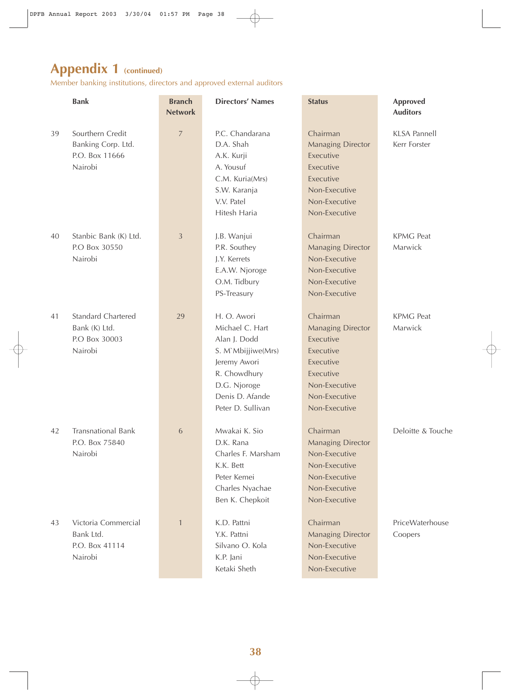Member banking institutions, directors and approved external auditors

|    | <b>Bank</b>                                                            | <b>Branch</b><br><b>Network</b> | <b>Directors' Names</b>                                                                                                                                      | <b>Status</b>                                                                                                                               | <b>Approved</b><br><b>Auditors</b>  |
|----|------------------------------------------------------------------------|---------------------------------|--------------------------------------------------------------------------------------------------------------------------------------------------------------|---------------------------------------------------------------------------------------------------------------------------------------------|-------------------------------------|
| 39 | Sourthern Credit<br>Banking Corp. Ltd.<br>P.O. Box 11666<br>Nairobi    | $\overline{7}$                  | P.C. Chandarana<br>D.A. Shah<br>A.K. Kurji<br>A. Yousuf<br>C.M. Kuria(Mrs)<br>S.W. Karanja<br>V.V. Patel<br>Hitesh Haria                                     | Chairman<br><b>Managing Director</b><br>Executive<br>Executive<br>Executive<br>Non-Executive<br>Non-Executive<br>Non-Executive              | <b>KLSA Pannell</b><br>Kerr Forster |
| 40 | Stanbic Bank (K) Ltd.<br>P.O Box 30550<br>Nairobi                      | 3                               | J.B. Wanjui<br>P.R. Southey<br>J.Y. Kerrets<br>E.A.W. Njoroge<br>O.M. Tidbury<br>PS-Treasury                                                                 | Chairman<br><b>Managing Director</b><br>Non-Executive<br>Non-Executive<br>Non-Executive<br>Non-Executive                                    | <b>KPMG Peat</b><br>Marwick         |
| 41 | <b>Standard Chartered</b><br>Bank (K) Ltd.<br>P.O Box 30003<br>Nairobi | 29                              | H. O. Awori<br>Michael C. Hart<br>Alan J. Dodd<br>S. M'Mbijjiwe(Mrs)<br>Jeremy Awori<br>R. Chowdhury<br>D.G. Njoroge<br>Denis D. Afande<br>Peter D. Sullivan | Chairman<br><b>Managing Director</b><br>Executive<br>Executive<br>Executive<br>Executive<br>Non-Executive<br>Non-Executive<br>Non-Executive | <b>KPMG Peat</b><br>Marwick         |
| 42 | <b>Transnational Bank</b><br>P.O. Box 75840<br>Nairobi                 | 6                               | Mwakai K. Sio<br>D.K. Rana<br>Charles F. Marsham<br>K.K. Bett<br>Peter Kemei<br>Charles Nyachae<br>Ben K. Chepkoit                                           | Chairman<br><b>Managing Director</b><br>Non-Executive<br>Non-Executive<br>Non-Executive<br>Non-Executive<br>Non-Executive                   | Deloitte & Touche                   |
| 43 | Victoria Commercial<br>Bank Ltd.<br>P.O. Box 41114<br>Nairobi          | $\mathbf{1}$                    | K.D. Pattni<br>Y.K. Pattni<br>Silvano O. Kola<br>K.P. Jani<br>Ketaki Sheth                                                                                   | Chairman<br><b>Managing Director</b><br>Non-Executive<br>Non-Executive<br>Non-Executive                                                     | PriceWaterhouse<br>Coopers          |

 $\bigoplus$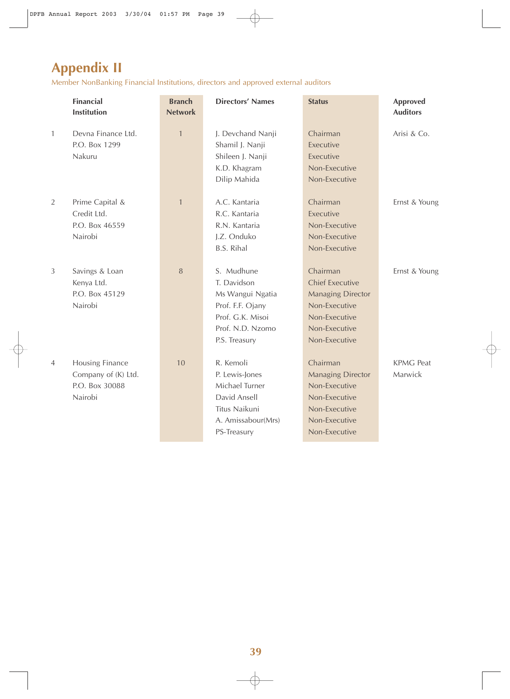# **Appendix II**

Member NonBanking Financial Institutions, directors and approved external auditors

|                | <b>Financial</b><br><b>Institution</b>                              | <b>Branch</b><br><b>Network</b> | <b>Directors' Names</b>                                                                                                    | <b>Status</b>                                                                                                                      | <b>Approved</b><br><b>Auditors</b> |
|----------------|---------------------------------------------------------------------|---------------------------------|----------------------------------------------------------------------------------------------------------------------------|------------------------------------------------------------------------------------------------------------------------------------|------------------------------------|
| $\mathbf{1}$   | Devna Finance Ltd.<br>P.O. Box 1299<br>Nakuru                       | $\mathbf{1}$                    | J. Devchand Nanji<br>Shamil J. Nanji<br>Shileen J. Nanji<br>K.D. Khagram<br>Dilip Mahida                                   | Chairman<br>Executive<br>Executive<br>Non-Executive<br>Non-Executive                                                               | Arisi & Co.                        |
| 2              | Prime Capital &<br>Credit Ltd.<br>P.O. Box 46559<br>Nairobi         | $\mathbf{1}$                    | A.C. Kantaria<br>R.C. Kantaria<br>R.N. Kantaria<br>J.Z. Onduko<br><b>B.S. Rihal</b>                                        | Chairman<br>Executive<br>Non-Executive<br>Non-Executive<br>Non-Executive                                                           | Ernst & Young                      |
| $\mathfrak{Z}$ | Savings & Loan<br>Kenya Ltd.<br>P.O. Box 45129<br>Nairobi           | 8                               | S. Mudhune<br>T. Davidson<br>Ms Wangui Ngatia<br>Prof. F.F. Ojany<br>Prof. G.K. Misoi<br>Prof. N.D. Nzomo<br>P.S. Treasury | Chairman<br><b>Chief Executive</b><br><b>Managing Director</b><br>Non-Executive<br>Non-Executive<br>Non-Executive<br>Non-Executive | Ernst & Young                      |
| $\overline{4}$ | Housing Finance<br>Company of (K) Ltd.<br>P.O. Box 30088<br>Nairobi | 10                              | R. Kemoli<br>P. Lewis-Jones<br>Michael Turner<br>David Ansell<br>Titus Naikuni<br>A. Amissabour(Mrs)<br>PS-Treasury        | Chairman<br><b>Managing Director</b><br>Non-Executive<br>Non-Executive<br>Non-Executive<br>Non-Executive<br>Non-Executive          | <b>KPMG Peat</b><br>Marwick        |

 $\bigoplus$